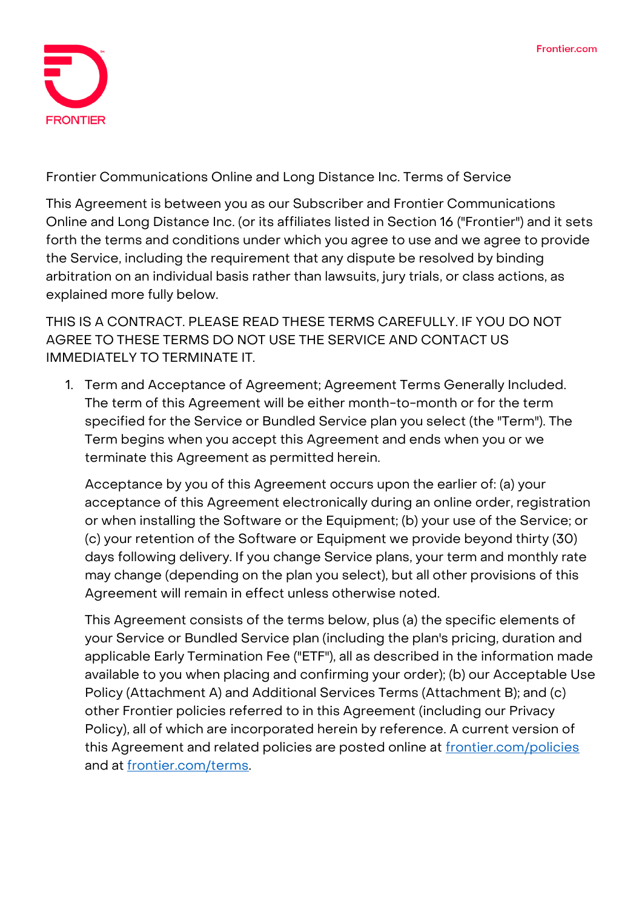

**Frontier Communications Online and Long Distance Inc. Terms of Service**

This Agreement is between you as our Subscriber and Frontier Communications Online and Long Distance Inc. (or its affiliates listed in Section 16 ("Frontier") and it sets forth the terms and conditions under which you agree to use and we agree to provide the Service, including the requirement that any dispute be resolved by binding arbitration on an individual basis rather than lawsuits, jury trials, or class actions, as explained more fully below.

THIS IS A CONTRACT. PLEASE READ THESE TERMS CAREFULLY. IF YOU DO NOT AGREE TO THESE TERMS DO NOT USE THE SERVICE AND CONTACT US IMMEDIATELY TO TERMINATE IT.

**1. Term and Acceptance of Agreement; Agreement Terms Generally Included.** The term of this Agreement will be either month-to-month or for the term specified for the Service or Bundled Service plan you select (the "Term"). The Term begins when you accept this Agreement and ends when you or we terminate this Agreement as permitted herein.

Acceptance by you of this Agreement occurs upon the earlier of: (a) your acceptance of this Agreement electronically during an online order, registration or when installing the Software or the Equipment; (b) your use of the Service; or (c) your retention of the Software or Equipment we provide beyond thirty (30) days following delivery. If you change Service plans, your term and monthly rate may change (depending on the plan you select), but all other provisions of this Agreement will remain in effect unless otherwise noted.

This Agreement consists of the terms below, plus (a) the specific elements of your Service or Bundled Service plan (including the plan's pricing, duration and applicable Early Termination Fee ("ETF"), all as described in the information made available to you when placing and confirming your order); (b) our Acceptable Use Policy (Attachment A) and Additional Services Terms (Attachment B); and (c) other Frontier policies referred to in this Agreement (including our Privacy Policy), all of which are incorporated herein by reference. A current version of this Agreement and related policies are posted online at [frontier.com/policies](https://frontier.com/corporate/policies) and at [frontier.com/terms.](https://frontier.com/corporate/terms)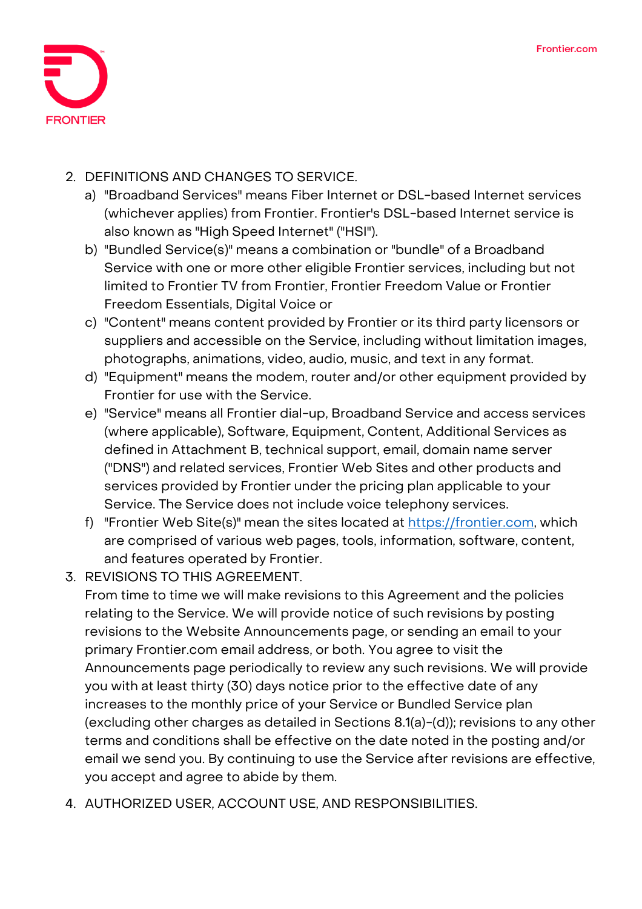

## **2. DEFINITIONS AND CHANGES TO SERVICE.**

- a) "Broadband Services" means Fiber Internet or DSL-based Internet services (whichever applies) from Frontier. Frontier's DSL-based Internet service is also known as "High Speed Internet" ("HSI").
- b) "Bundled Service(s)" means a combination or "bundle" of a Broadband Service with one or more other eligible Frontier services, including but not limited to Frontier TV from Frontier, Frontier Freedom Value or Frontier Freedom Essentials, Digital Voice or
- c) "Content" means content provided by Frontier or its third party licensors or suppliers and accessible on the Service, including without limitation images, photographs, animations, video, audio, music, and text in any format.
- d) "Equipment" means the modem, router and/or other equipment provided by Frontier for use with the Service.
- e) "Service" means all Frontier dial-up, Broadband Service and access services (where applicable), Software, Equipment, Content, Additional Services as defined in Attachment B, technical support, email, domain name server ("DNS") and related services, Frontier Web Sites and other products and services provided by Frontier under the pricing plan applicable to your Service. The Service does not include voice telephony services.
- f) "Frontier Web Site(s)" mean the sites located at [https://frontier.com,](https://frontier.com/) which are comprised of various web pages, tools, information, software, content, and features operated by Frontier.
- **3. REVISIONS TO THIS AGREEMENT.**

From time to time we will make revisions to this Agreement and the policies relating to the Service. We will provide notice of such revisions by posting revisions to the Website Announcements page, or sending an email to your primary Frontier.com email address, or both. You agree to visit the Announcements page periodically to review any such revisions. We will provide you with at least thirty (30) days notice prior to the effective date of any increases to the monthly price of your Service or Bundled Service plan (excluding other charges as detailed in Sections 8.1(a)-(d)); revisions to any other terms and conditions shall be effective on the date noted in the posting and/or email we send you. By continuing to use the Service after revisions are effective, you accept and agree to abide by them.

**4. AUTHORIZED USER, ACCOUNT USE, AND RESPONSIBILITIES.**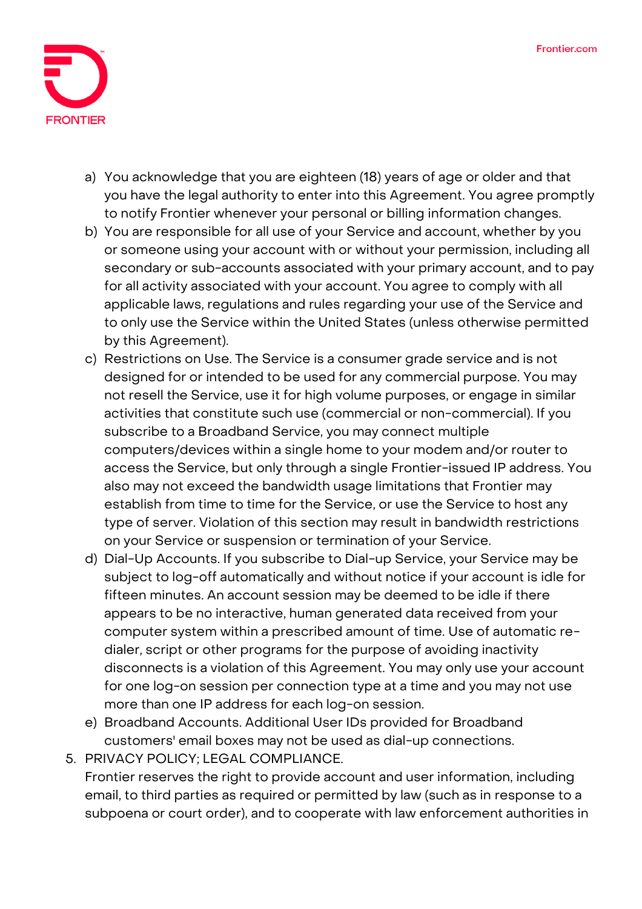

- a) You acknowledge that you are eighteen (18) years of age or older and that you have the legal authority to enter into this Agreement. You agree promptly to notify Frontier whenever your personal or billing information changes.
- b) You are responsible for all use of your Service and account, whether by you or someone using your account with or without your permission, including all secondary or sub-accounts associated with your primary account, and to pay for all activity associated with your account. You agree to comply with all applicable laws, regulations and rules regarding your use of the Service and to only use the Service within the United States (unless otherwise permitted by this Agreement).
- c) Restrictions on Use. The Service is a consumer grade service and is not designed for or intended to be used for any commercial purpose. You may not resell the Service, use it for high volume purposes, or engage in similar activities that constitute such use (commercial or non-commercial). If you subscribe to a Broadband Service, you may connect multiple computers/devices within a single home to your modem and/or router to access the Service, but only through a single Frontier-issued IP address. You also may not exceed the bandwidth usage limitations that Frontier may establish from time to time for the Service, or use the Service to host any type of server. Violation of this section may result in bandwidth restrictions on your Service or suspension or termination of your Service.
- d) Dial-Up Accounts. If you subscribe to Dial-up Service, your Service may be subject to log-off automatically and without notice if your account is idle for fifteen minutes. An account session may be deemed to be idle if there appears to be no interactive, human generated data received from your computer system within a prescribed amount of time. Use of automatic redialer, script or other programs for the purpose of avoiding inactivity disconnects is a violation of this Agreement. You may only use your account for one log-on session per connection type at a time and you may not use more than one IP address for each log-on session.
- e) Broadband Accounts. Additional User IDs provided for Broadband customers' email boxes may not be used as dial-up connections.
- **5. PRIVACY POLICY; LEGAL COMPLIANCE.** Frontier reserves the right to provide account and user information, including email, to third parties as required or permitted by law (such as in response to a subpoena or court order), and to cooperate with law enforcement authorities in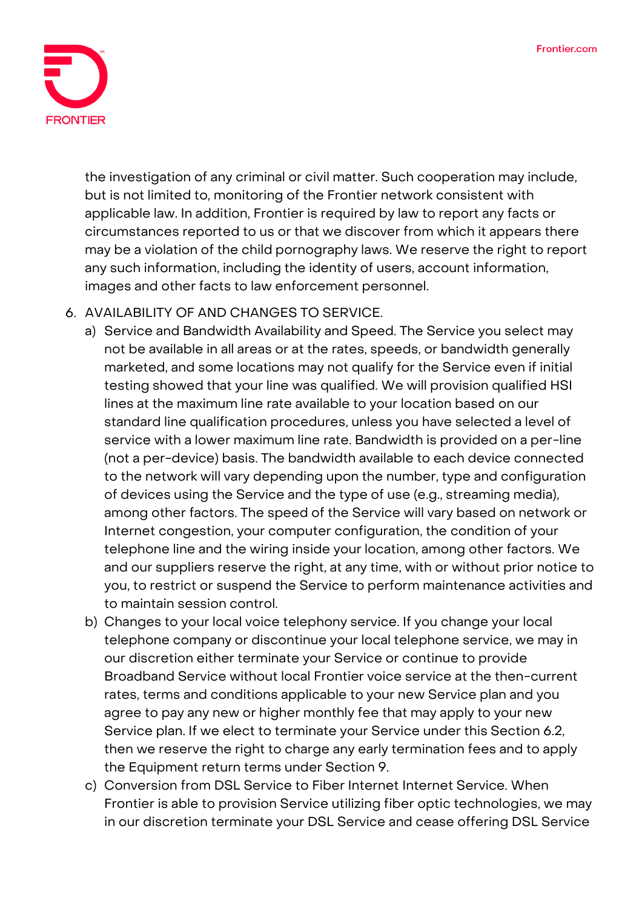

the investigation of any criminal or civil matter. Such cooperation may include, but is not limited to, monitoring of the Frontier network consistent with applicable law. In addition, Frontier is required by law to report any facts or circumstances reported to us or that we discover from which it appears there may be a violation of the child pornography laws. We reserve the right to report any such information, including the identity of users, account information, images and other facts to law enforcement personnel.

## **6. AVAILABILITY OF AND CHANGES TO SERVICE.**

- a) Service and Bandwidth Availability and Speed. The Service you select may not be available in all areas or at the rates, speeds, or bandwidth generally marketed, and some locations may not qualify for the Service even if initial testing showed that your line was qualified. We will provision qualified HSI lines at the maximum line rate available to your location based on our standard line qualification procedures, unless you have selected a level of service with a lower maximum line rate. Bandwidth is provided on a per-line (not a per-device) basis. The bandwidth available to each device connected to the network will vary depending upon the number, type and configuration of devices using the Service and the type of use (e.g., streaming media), among other factors. The speed of the Service will vary based on network or Internet congestion, your computer configuration, the condition of your telephone line and the wiring inside your location, among other factors. We and our suppliers reserve the right, at any time, with or without prior notice to you, to restrict or suspend the Service to perform maintenance activities and to maintain session control.
- b) Changes to your local voice telephony service. If you change your local telephone company or discontinue your local telephone service, we may in our discretion either terminate your Service or continue to provide Broadband Service without local Frontier voice service at the then-current rates, terms and conditions applicable to your new Service plan and you agree to pay any new or higher monthly fee that may apply to your new Service plan. If we elect to terminate your Service under this Section 6.2, then we reserve the right to charge any early termination fees and to apply the Equipment return terms under Section 9.
- c) Conversion from DSL Service to Fiber Internet Internet Service. When Frontier is able to provision Service utilizing fiber optic technologies, we may in our discretion terminate your DSL Service and cease offering DSL Service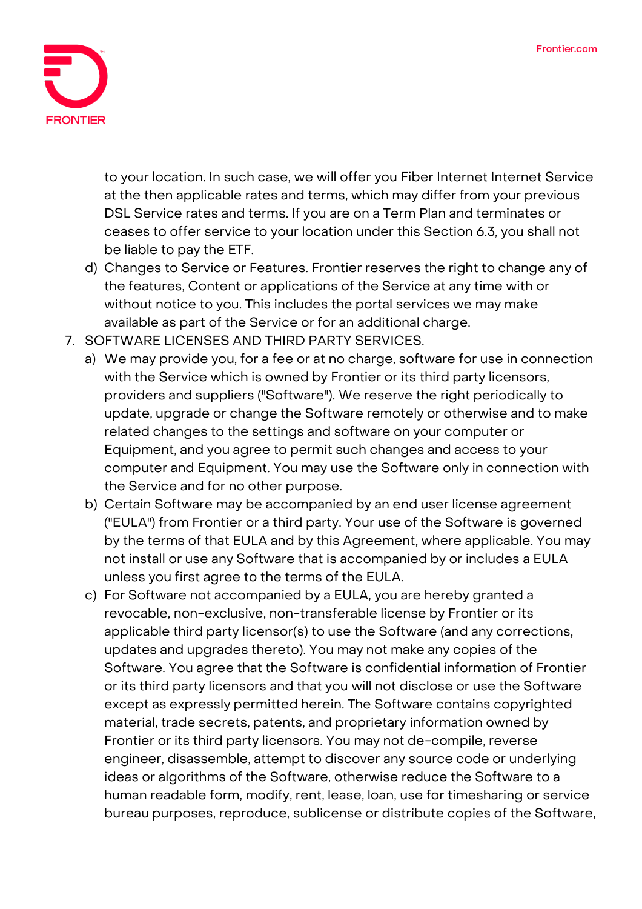

to your location. In such case, we will offer you Fiber Internet Internet Service at the then applicable rates and terms, which may differ from your previous DSL Service rates and terms. If you are on a Term Plan and terminates or ceases to offer service to your location under this Section 6.3, you shall not be liable to pay the ETF.

- d) Changes to Service or Features. Frontier reserves the right to change any of the features, Content or applications of the Service at any time with or without notice to you. This includes the portal services we may make available as part of the Service or for an additional charge.
- **7. SOFTWARE LICENSES AND THIRD PARTY SERVICES.**
	- a) We may provide you, for a fee or at no charge, software for use in connection with the Service which is owned by Frontier or its third party licensors, providers and suppliers ("Software"). We reserve the right periodically to update, upgrade or change the Software remotely or otherwise and to make related changes to the settings and software on your computer or Equipment, and you agree to permit such changes and access to your computer and Equipment. You may use the Software only in connection with the Service and for no other purpose.
	- b) Certain Software may be accompanied by an end user license agreement ("EULA") from Frontier or a third party. Your use of the Software is governed by the terms of that EULA and by this Agreement, where applicable. You may not install or use any Software that is accompanied by or includes a EULA unless you first agree to the terms of the EULA.
	- c) For Software not accompanied by a EULA, you are hereby granted a revocable, non-exclusive, non-transferable license by Frontier or its applicable third party licensor(s) to use the Software (and any corrections, updates and upgrades thereto). You may not make any copies of the Software. You agree that the Software is confidential information of Frontier or its third party licensors and that you will not disclose or use the Software except as expressly permitted herein. The Software contains copyrighted material, trade secrets, patents, and proprietary information owned by Frontier or its third party licensors. You may not de-compile, reverse engineer, disassemble, attempt to discover any source code or underlying ideas or algorithms of the Software, otherwise reduce the Software to a human readable form, modify, rent, lease, loan, use for timesharing or service bureau purposes, reproduce, sublicense or distribute copies of the Software,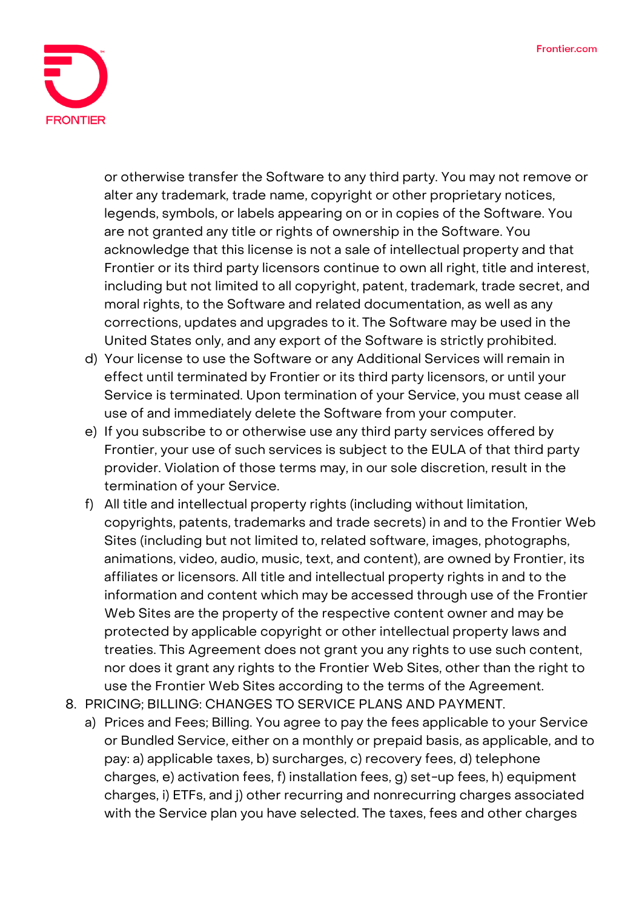

or otherwise transfer the Software to any third party. You may not remove or alter any trademark, trade name, copyright or other proprietary notices, legends, symbols, or labels appearing on or in copies of the Software. You are not granted any title or rights of ownership in the Software. You acknowledge that this license is not a sale of intellectual property and that Frontier or its third party licensors continue to own all right, title and interest, including but not limited to all copyright, patent, trademark, trade secret, and moral rights, to the Software and related documentation, as well as any corrections, updates and upgrades to it. The Software may be used in the United States only, and any export of the Software is strictly prohibited.

- d) Your license to use the Software or any Additional Services will remain in effect until terminated by Frontier or its third party licensors, or until your Service is terminated. Upon termination of your Service, you must cease all use of and immediately delete the Software from your computer.
- e) If you subscribe to or otherwise use any third party services offered by Frontier, your use of such services is subject to the EULA of that third party provider. Violation of those terms may, in our sole discretion, result in the termination of your Service.
- f) All title and intellectual property rights (including without limitation, copyrights, patents, trademarks and trade secrets) in and to the Frontier Web Sites (including but not limited to, related software, images, photographs, animations, video, audio, music, text, and content), are owned by Frontier, its affiliates or licensors. All title and intellectual property rights in and to the information and content which may be accessed through use of the Frontier Web Sites are the property of the respective content owner and may be protected by applicable copyright or other intellectual property laws and treaties. This Agreement does not grant you any rights to use such content, nor does it grant any rights to the Frontier Web Sites, other than the right to use the Frontier Web Sites according to the terms of the Agreement.
- **8. PRICING; BILLING: CHANGES TO SERVICE PLANS AND PAYMENT.**
	- a) Prices and Fees; Billing. You agree to pay the fees applicable to your Service or Bundled Service, either on a monthly or prepaid basis, as applicable, and to pay: a) applicable taxes, b) surcharges, c) recovery fees, d) telephone charges, e) activation fees, f) installation fees, g) set-up fees, h) equipment charges, i) ETFs, and j) other recurring and nonrecurring charges associated with the Service plan you have selected. The taxes, fees and other charges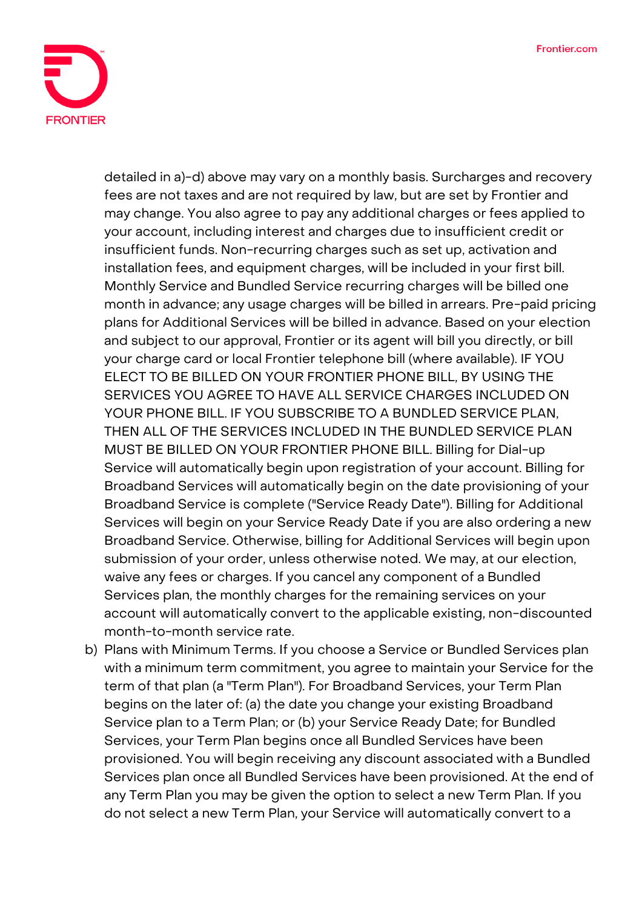

detailed in a)-d) above may vary on a monthly basis. Surcharges and recovery fees are not taxes and are not required by law, but are set by Frontier and may change. You also agree to pay any additional charges or fees applied to your account, including interest and charges due to insufficient credit or insufficient funds. Non-recurring charges such as set up, activation and installation fees, and equipment charges, will be included in your first bill. Monthly Service and Bundled Service recurring charges will be billed one month in advance; any usage charges will be billed in arrears. Pre-paid pricing plans for Additional Services will be billed in advance. Based on your election and subject to our approval, Frontier or its agent will bill you directly, or bill your charge card or local Frontier telephone bill (where available). IF YOU ELECT TO BE BILLED ON YOUR FRONTIER PHONE BILL, BY USING THE SERVICES YOU AGREE TO HAVE ALL SERVICE CHARGES INCLUDED ON YOUR PHONE BILL. IF YOU SUBSCRIBE TO A BUNDLED SERVICE PLAN, THEN ALL OF THE SERVICES INCLUDED IN THE BUNDLED SERVICE PLAN MUST BE BILLED ON YOUR FRONTIER PHONE BILL. Billing for Dial-up Service will automatically begin upon registration of your account. Billing for Broadband Services will automatically begin on the date provisioning of your Broadband Service is complete ("Service Ready Date"). Billing for Additional Services will begin on your Service Ready Date if you are also ordering a new Broadband Service. Otherwise, billing for Additional Services will begin upon submission of your order, unless otherwise noted. We may, at our election, waive any fees or charges. If you cancel any component of a Bundled Services plan, the monthly charges for the remaining services on your account will automatically convert to the applicable existing, non-discounted month-to-month service rate.

b) Plans with Minimum Terms. If you choose a Service or Bundled Services plan with a minimum term commitment, you agree to maintain your Service for the term of that plan (a "Term Plan"). For Broadband Services, your Term Plan begins on the later of: (a) the date you change your existing Broadband Service plan to a Term Plan; or (b) your Service Ready Date; for Bundled Services, your Term Plan begins once all Bundled Services have been provisioned. You will begin receiving any discount associated with a Bundled Services plan once all Bundled Services have been provisioned. At the end of any Term Plan you may be given the option to select a new Term Plan. If you do not select a new Term Plan, your Service will automatically convert to a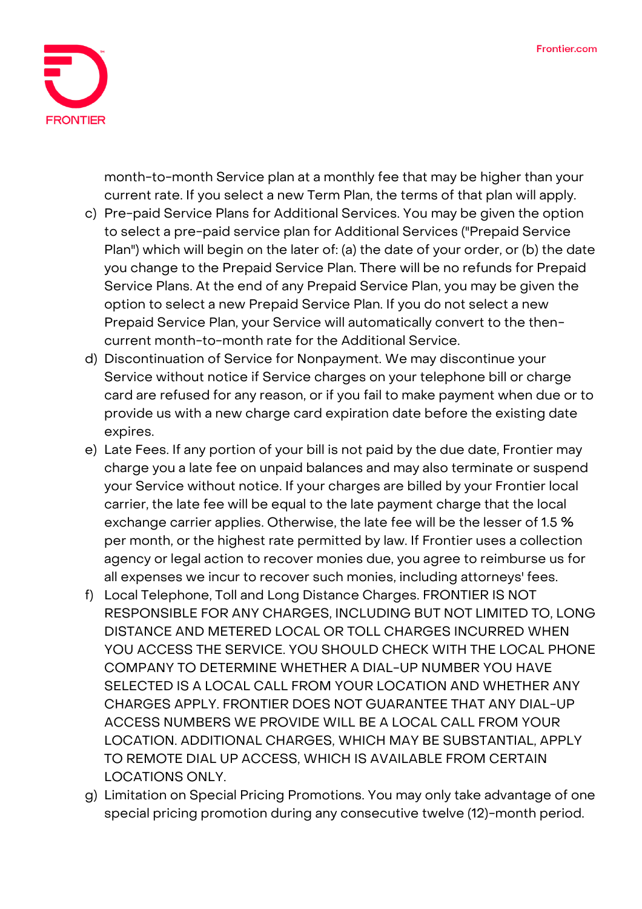

month-to-month Service plan at a monthly fee that may be higher than your current rate. If you select a new Term Plan, the terms of that plan will apply.

- c) Pre-paid Service Plans for Additional Services. You may be given the option to select a pre-paid service plan for Additional Services ("Prepaid Service Plan") which will begin on the later of: (a) the date of your order, or (b) the date you change to the Prepaid Service Plan. There will be no refunds for Prepaid Service Plans. At the end of any Prepaid Service Plan, you may be given the option to select a new Prepaid Service Plan. If you do not select a new Prepaid Service Plan, your Service will automatically convert to the thencurrent month-to-month rate for the Additional Service.
- d) Discontinuation of Service for Nonpayment. We may discontinue your Service without notice if Service charges on your telephone bill or charge card are refused for any reason, or if you fail to make payment when due or to provide us with a new charge card expiration date before the existing date expires.
- e) Late Fees. If any portion of your bill is not paid by the due date, Frontier may charge you a late fee on unpaid balances and may also terminate or suspend your Service without notice. If your charges are billed by your Frontier local carrier, the late fee will be equal to the late payment charge that the local exchange carrier applies. Otherwise, the late fee will be the lesser of 1.5 % per month, or the highest rate permitted by law. If Frontier uses a collection agency or legal action to recover monies due, you agree to reimburse us for all expenses we incur to recover such monies, including attorneys' fees.
- f) Local Telephone, Toll and Long Distance Charges. FRONTIER IS NOT RESPONSIBLE FOR ANY CHARGES, INCLUDING BUT NOT LIMITED TO, LONG DISTANCE AND METERED LOCAL OR TOLL CHARGES INCURRED WHEN YOU ACCESS THE SERVICE. YOU SHOULD CHECK WITH THE LOCAL PHONE COMPANY TO DETERMINE WHETHER A DIAL-UP NUMBER YOU HAVE SELECTED IS A LOCAL CALL FROM YOUR LOCATION AND WHETHER ANY CHARGES APPLY. FRONTIER DOES NOT GUARANTEE THAT ANY DIAL-UP ACCESS NUMBERS WE PROVIDE WILL BE A LOCAL CALL FROM YOUR LOCATION. ADDITIONAL CHARGES, WHICH MAY BE SUBSTANTIAL, APPLY TO REMOTE DIAL UP ACCESS, WHICH IS AVAILABLE FROM CERTAIN LOCATIONS ONLY.
- g) Limitation on Special Pricing Promotions. You may only take advantage of one special pricing promotion during any consecutive twelve (12)-month period.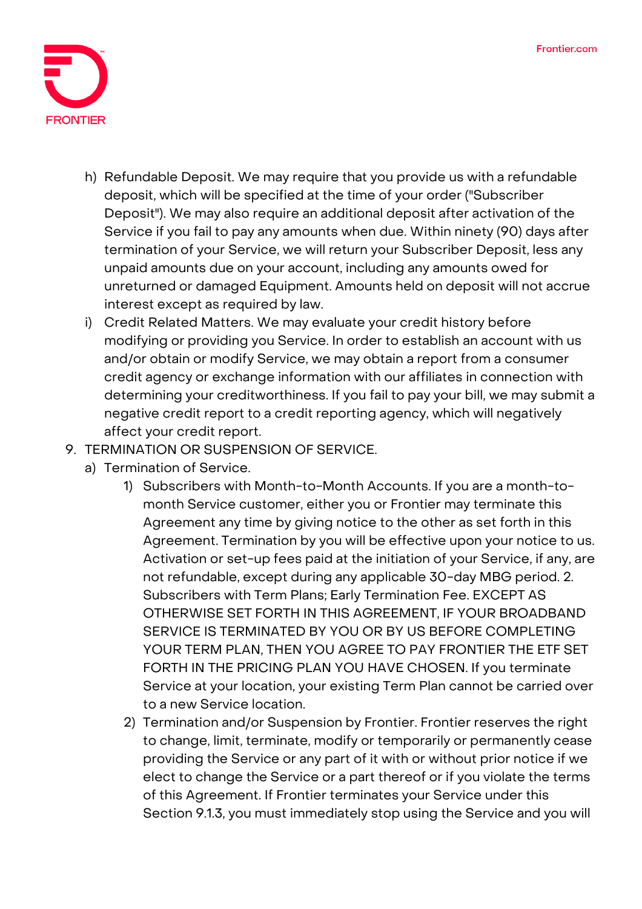

- h) Refundable Deposit. We may require that you provide us with a refundable deposit, which will be specified at the time of your order ("Subscriber Deposit"). We may also require an additional deposit after activation of the Service if you fail to pay any amounts when due. Within ninety (90) days after termination of your Service, we will return your Subscriber Deposit, less any unpaid amounts due on your account, including any amounts owed for unreturned or damaged Equipment. Amounts held on deposit will not accrue interest except as required by law.
- i) Credit Related Matters. We may evaluate your credit history before modifying or providing you Service. In order to establish an account with us and/or obtain or modify Service, we may obtain a report from a consumer credit agency or exchange information with our affiliates in connection with determining your creditworthiness. If you fail to pay your bill, we may submit a negative credit report to a credit reporting agency, which will negatively affect your credit report.
- **9. TERMINATION OR SUSPENSION OF SERVICE.**
	- a) Termination of Service.
		- 1) Subscribers with Month-to-Month Accounts. If you are a month-tomonth Service customer, either you or Frontier may terminate this Agreement any time by giving notice to the other as set forth in this Agreement. Termination by you will be effective upon your notice to us. Activation or set-up fees paid at the initiation of your Service, if any, are not refundable, except during any applicable 30-day MBG period. 2. Subscribers with Term Plans; Early Termination Fee. EXCEPT AS OTHERWISE SET FORTH IN THIS AGREEMENT, IF YOUR BROADBAND SERVICE IS TERMINATED BY YOU OR BY US BEFORE COMPLETING YOUR TERM PLAN, THEN YOU AGREE TO PAY FRONTIER THE ETF SET FORTH IN THE PRICING PLAN YOU HAVE CHOSEN. If you terminate Service at your location, your existing Term Plan cannot be carried over to a new Service location.
		- 2) Termination and/or Suspension by Frontier. Frontier reserves the right to change, limit, terminate, modify or temporarily or permanently cease providing the Service or any part of it with or without prior notice if we elect to change the Service or a part thereof or if you violate the terms of this Agreement. If Frontier terminates your Service under this Section 9.1.3, you must immediately stop using the Service and you will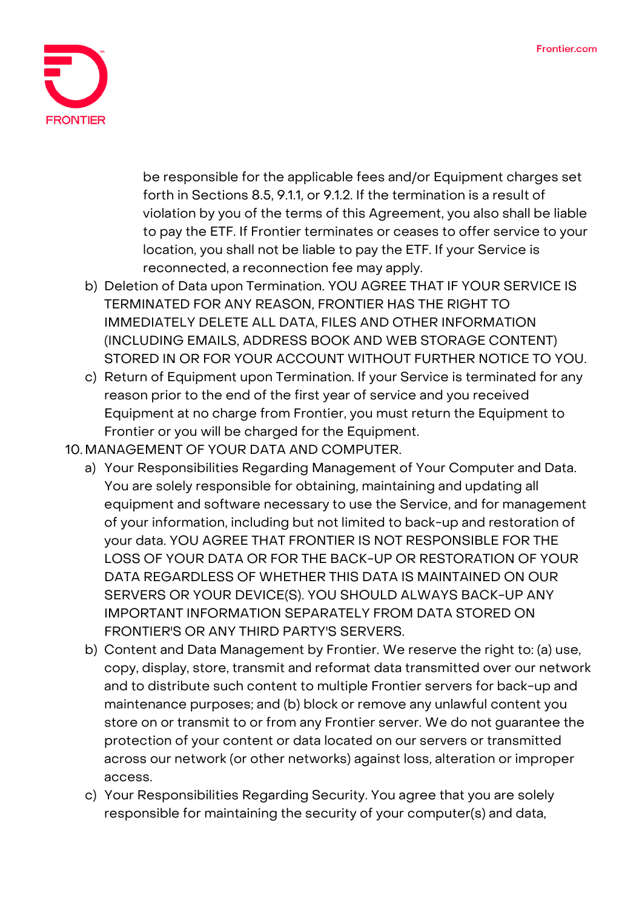

be responsible for the applicable fees and/or Equipment charges set forth in Sections 8.5, 9.1.1, or 9.1.2. If the termination is a result of violation by you of the terms of this Agreement, you also shall be liable to pay the ETF. If Frontier terminates or ceases to offer service to your location, you shall not be liable to pay the ETF. If your Service is reconnected, a reconnection fee may apply.

- b) Deletion of Data upon Termination. YOU AGREE THAT IF YOUR SERVICE IS TERMINATED FOR ANY REASON, FRONTIER HAS THE RIGHT TO IMMEDIATELY DELETE ALL DATA, FILES AND OTHER INFORMATION (INCLUDING EMAILS, ADDRESS BOOK AND WEB STORAGE CONTENT) STORED IN OR FOR YOUR ACCOUNT WITHOUT FURTHER NOTICE TO YOU.
- c) Return of Equipment upon Termination. If your Service is terminated for any reason prior to the end of the first year of service and you received Equipment at no charge from Frontier, you must return the Equipment to Frontier or you will be charged for the Equipment.
- **10. MANAGEMENT OF YOUR DATA AND COMPUTER.**
	- a) Your Responsibilities Regarding Management of Your Computer and Data. You are solely responsible for obtaining, maintaining and updating all equipment and software necessary to use the Service, and for management of your information, including but not limited to back-up and restoration of your data. YOU AGREE THAT FRONTIER IS NOT RESPONSIBLE FOR THE LOSS OF YOUR DATA OR FOR THE BACK-UP OR RESTORATION OF YOUR DATA REGARDLESS OF WHETHER THIS DATA IS MAINTAINED ON OUR SERVERS OR YOUR DEVICE(S). YOU SHOULD ALWAYS BACK-UP ANY IMPORTANT INFORMATION SEPARATELY FROM DATA STORED ON FRONTIER'S OR ANY THIRD PARTY'S SERVERS.
	- b) Content and Data Management by Frontier. We reserve the right to: (a) use, copy, display, store, transmit and reformat data transmitted over our network and to distribute such content to multiple Frontier servers for back-up and maintenance purposes; and (b) block or remove any unlawful content you store on or transmit to or from any Frontier server. We do not guarantee the protection of your content or data located on our servers or transmitted across our network (or other networks) against loss, alteration or improper access.
	- c) Your Responsibilities Regarding Security. You agree that you are solely responsible for maintaining the security of your computer(s) and data,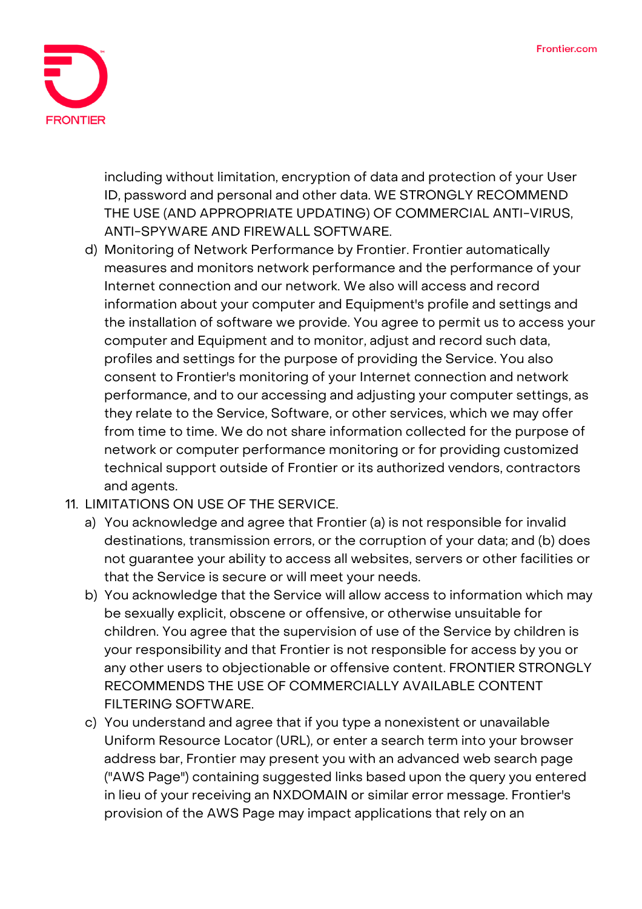

including without limitation, encryption of data and protection of your User ID, password and personal and other data. WE STRONGLY RECOMMEND THE USE (AND APPROPRIATE UPDATING) OF COMMERCIAL ANTI-VIRUS, ANTI-SPYWARE AND FIREWALL SOFTWARE.

- d) Monitoring of Network Performance by Frontier. Frontier automatically measures and monitors network performance and the performance of your Internet connection and our network. We also will access and record information about your computer and Equipment's profile and settings and the installation of software we provide. You agree to permit us to access your computer and Equipment and to monitor, adjust and record such data, profiles and settings for the purpose of providing the Service. You also consent to Frontier's monitoring of your Internet connection and network performance, and to our accessing and adjusting your computer settings, as they relate to the Service, Software, or other services, which we may offer from time to time. We do not share information collected for the purpose of network or computer performance monitoring or for providing customized technical support outside of Frontier or its authorized vendors, contractors and agents.
- **11. LIMITATIONS ON USE OF THE SERVICE.**
	- a) You acknowledge and agree that Frontier (a) is not responsible for invalid destinations, transmission errors, or the corruption of your data; and (b) does not guarantee your ability to access all websites, servers or other facilities or that the Service is secure or will meet your needs.
	- b) You acknowledge that the Service will allow access to information which may be sexually explicit, obscene or offensive, or otherwise unsuitable for children. You agree that the supervision of use of the Service by children is your responsibility and that Frontier is not responsible for access by you or any other users to objectionable or offensive content. FRONTIER STRONGLY RECOMMENDS THE USE OF COMMERCIALLY AVAILABLE CONTENT FILTERING SOFTWARE.
	- c) You understand and agree that if you type a nonexistent or unavailable Uniform Resource Locator (URL), or enter a search term into your browser address bar, Frontier may present you with an advanced web search page ("AWS Page") containing suggested links based upon the query you entered in lieu of your receiving an NXDOMAIN or similar error message. Frontier's provision of the AWS Page may impact applications that rely on an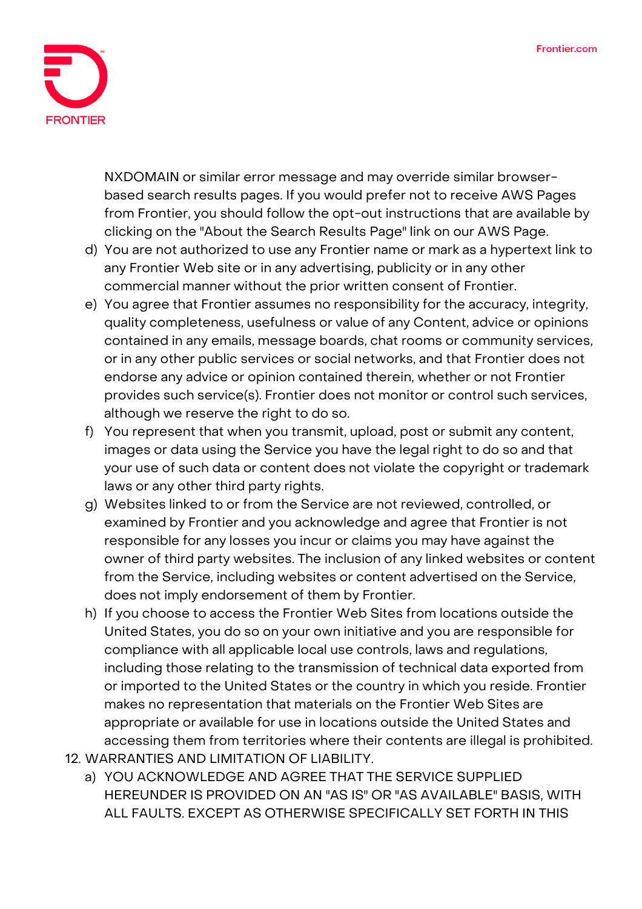

NXDOMAIN or similar error message and may override similar browserbased search results pages. If you would prefer not to receive AWS Pages from Frontier, you should follow the opt-out instructions that are available by clicking on the "About the Search Results Page" link on our AWS Page.

- d) You are not authorized to use any Frontier name or mark as a hypertext link to any Frontier Web site or in any advertising, publicity or in any other commercial manner without the prior written consent of Frontier.
- e) You agree that Frontier assumes no responsibility for the accuracy, integrity, quality completeness, usefulness or value of any Content, advice or opinions contained in any emails, message boards, chat rooms or community services, or in any other public services or social networks, and that Frontier does not endorse any advice or opinion contained therein, whether or not Frontier provides such service(s). Frontier does not monitor or control such services, although we reserve the right to do so.
- f) You represent that when you transmit, upload, post or submit any content, images or data using the Service you have the legal right to do so and that your use of such data or content does not violate the copyright or trademark laws or any other third party rights.
- g) Websites linked to or from the Service are not reviewed, controlled, or examined by Frontier and you acknowledge and agree that Frontier is not responsible for any losses you incur or claims you may have against the owner of third party websites. The inclusion of any linked websites or content from the Service, including websites or content advertised on the Service, does not imply endorsement of them by Frontier.
- h) If you choose to access the Frontier Web Sites from locations outside the United States, you do so on your own initiative and you are responsible for compliance with all applicable local use controls, laws and regulations, including those relating to the transmission of technical data exported from or imported to the United States or the country in which you reside. Frontier makes no representation that materials on the Frontier Web Sites are appropriate or available for use in locations outside the United States and accessing them from territories where their contents are illegal is prohibited.
- **12. WARRANTIES AND LIMITATION OF LIABILITY.**
	- a) YOU ACKNOWLEDGE AND AGREE THAT THE SERVICE SUPPLIED HEREUNDER IS PROVIDED ON AN "AS IS" OR "AS AVAILABLE" BASIS, WITH ALL FAULTS. EXCEPT AS OTHERWISE SPECIFICALLY SET FORTH IN THIS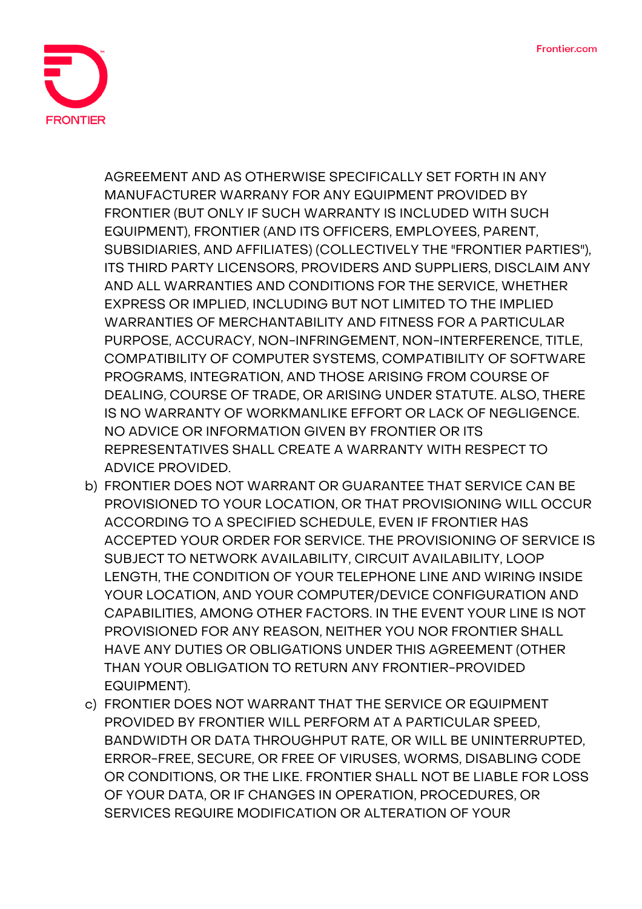

AGREEMENT AND AS OTHERWISE SPECIFICALLY SET FORTH IN ANY MANUFACTURER WARRANY FOR ANY EQUIPMENT PROVIDED BY FRONTIER (BUT ONLY IF SUCH WARRANTY IS INCLUDED WITH SUCH EQUIPMENT), FRONTIER (AND ITS OFFICERS, EMPLOYEES, PARENT, SUBSIDIARIES, AND AFFILIATES) (COLLECTIVELY THE "FRONTIER PARTIES"), ITS THIRD PARTY LICENSORS, PROVIDERS AND SUPPLIERS, DISCLAIM ANY AND ALL WARRANTIES AND CONDITIONS FOR THE SERVICE, WHETHER EXPRESS OR IMPLIED, INCLUDING BUT NOT LIMITED TO THE IMPLIED WARRANTIES OF MERCHANTABILITY AND FITNESS FOR A PARTICULAR PURPOSE, ACCURACY, NON-INFRINGEMENT, NON-INTERFERENCE, TITLE, COMPATIBILITY OF COMPUTER SYSTEMS, COMPATIBILITY OF SOFTWARE PROGRAMS, INTEGRATION, AND THOSE ARISING FROM COURSE OF DEALING, COURSE OF TRADE, OR ARISING UNDER STATUTE. ALSO, THERE IS NO WARRANTY OF WORKMANLIKE EFFORT OR LACK OF NEGLIGENCE. NO ADVICE OR INFORMATION GIVEN BY FRONTIER OR ITS REPRESENTATIVES SHALL CREATE A WARRANTY WITH RESPECT TO ADVICE PROVIDED.

- b) FRONTIER DOES NOT WARRANT OR GUARANTEE THAT SERVICE CAN BE PROVISIONED TO YOUR LOCATION, OR THAT PROVISIONING WILL OCCUR ACCORDING TO A SPECIFIED SCHEDULE, EVEN IF FRONTIER HAS ACCEPTED YOUR ORDER FOR SERVICE. THE PROVISIONING OF SERVICE IS SUBJECT TO NETWORK AVAILABILITY, CIRCUIT AVAILABILITY, LOOP LENGTH, THE CONDITION OF YOUR TELEPHONE LINE AND WIRING INSIDE YOUR LOCATION, AND YOUR COMPUTER/DEVICE CONFIGURATION AND CAPABILITIES, AMONG OTHER FACTORS. IN THE EVENT YOUR LINE IS NOT PROVISIONED FOR ANY REASON, NEITHER YOU NOR FRONTIER SHALL HAVE ANY DUTIES OR OBLIGATIONS UNDER THIS AGREEMENT (OTHER THAN YOUR OBLIGATION TO RETURN ANY FRONTIER-PROVIDED EQUIPMENT).
- c) FRONTIER DOES NOT WARRANT THAT THE SERVICE OR EQUIPMENT PROVIDED BY FRONTIER WILL PERFORM AT A PARTICULAR SPEED, BANDWIDTH OR DATA THROUGHPUT RATE, OR WILL BE UNINTERRUPTED, ERROR-FREE, SECURE, OR FREE OF VIRUSES, WORMS, DISABLING CODE OR CONDITIONS, OR THE LIKE. FRONTIER SHALL NOT BE LIABLE FOR LOSS OF YOUR DATA, OR IF CHANGES IN OPERATION, PROCEDURES, OR SERVICES REQUIRE MODIFICATION OR ALTERATION OF YOUR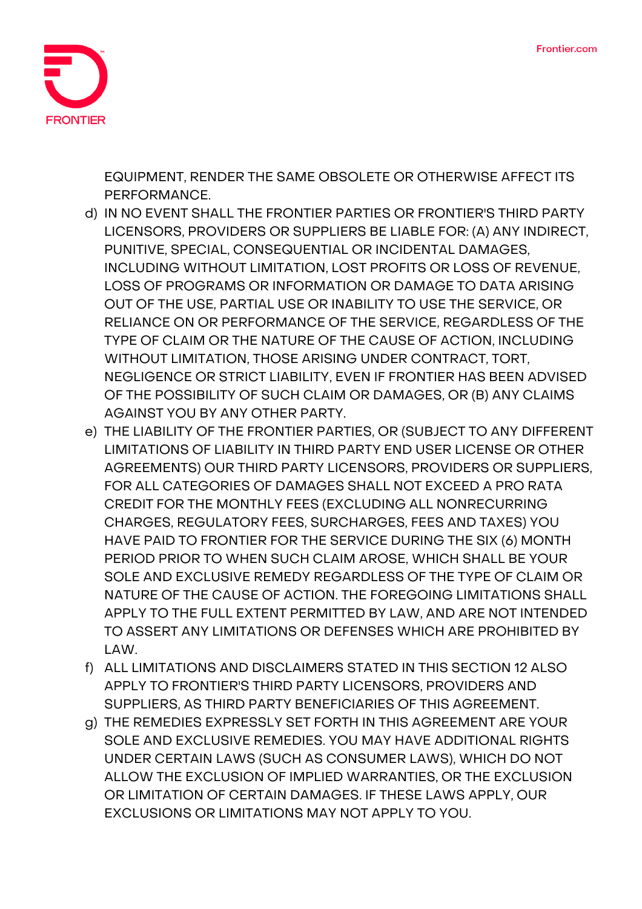

EQUIPMENT, RENDER THE SAME OBSOLETE OR OTHERWISE AFFECT ITS PERFORMANCE.

- d) IN NO EVENT SHALL THE FRONTIER PARTIES OR FRONTIER'S THIRD PARTY LICENSORS, PROVIDERS OR SUPPLIERS BE LIABLE FOR: (A) ANY INDIRECT, PUNITIVE, SPECIAL, CONSEQUENTIAL OR INCIDENTAL DAMAGES, INCLUDING WITHOUT LIMITATION, LOST PROFITS OR LOSS OF REVENUE, LOSS OF PROGRAMS OR INFORMATION OR DAMAGE TO DATA ARISING OUT OF THE USE, PARTIAL USE OR INABILITY TO USE THE SERVICE, OR RELIANCE ON OR PERFORMANCE OF THE SERVICE, REGARDLESS OF THE TYPE OF CLAIM OR THE NATURE OF THE CAUSE OF ACTION, INCLUDING WITHOUT LIMITATION, THOSE ARISING UNDER CONTRACT, TORT, NEGLIGENCE OR STRICT LIABILITY, EVEN IF FRONTIER HAS BEEN ADVISED OF THE POSSIBILITY OF SUCH CLAIM OR DAMAGES, OR (B) ANY CLAIMS AGAINST YOU BY ANY OTHER PARTY.
- e) THE LIABILITY OF THE FRONTIER PARTIES, OR (SUBJECT TO ANY DIFFERENT LIMITATIONS OF LIABILITY IN THIRD PARTY END USER LICENSE OR OTHER AGREEMENTS) OUR THIRD PARTY LICENSORS, PROVIDERS OR SUPPLIERS, FOR ALL CATEGORIES OF DAMAGES SHALL NOT EXCEED A PRO RATA CREDIT FOR THE MONTHLY FEES (EXCLUDING ALL NONRECURRING CHARGES, REGULATORY FEES, SURCHARGES, FEES AND TAXES) YOU HAVE PAID TO FRONTIER FOR THE SERVICE DURING THE SIX (6) MONTH PERIOD PRIOR TO WHEN SUCH CLAIM AROSE, WHICH SHALL BE YOUR SOLE AND EXCLUSIVE REMEDY REGARDLESS OF THE TYPE OF CLAIM OR NATURE OF THE CAUSE OF ACTION. THE FOREGOING LIMITATIONS SHALL APPLY TO THE FULL EXTENT PERMITTED BY LAW, AND ARE NOT INTENDED TO ASSERT ANY LIMITATIONS OR DEFENSES WHICH ARE PROHIBITED BY LAW.
- f) ALL LIMITATIONS AND DISCLAIMERS STATED IN THIS SECTION 12 ALSO APPLY TO FRONTIER'S THIRD PARTY LICENSORS, PROVIDERS AND SUPPLIERS, AS THIRD PARTY BENEFICIARIES OF THIS AGREEMENT.
- g) THE REMEDIES EXPRESSLY SET FORTH IN THIS AGREEMENT ARE YOUR SOLE AND EXCLUSIVE REMEDIES. YOU MAY HAVE ADDITIONAL RIGHTS UNDER CERTAIN LAWS (SUCH AS CONSUMER LAWS), WHICH DO NOT ALLOW THE EXCLUSION OF IMPLIED WARRANTIES, OR THE EXCLUSION OR LIMITATION OF CERTAIN DAMAGES. IF THESE LAWS APPLY, OUR EXCLUSIONS OR LIMITATIONS MAY NOT APPLY TO YOU.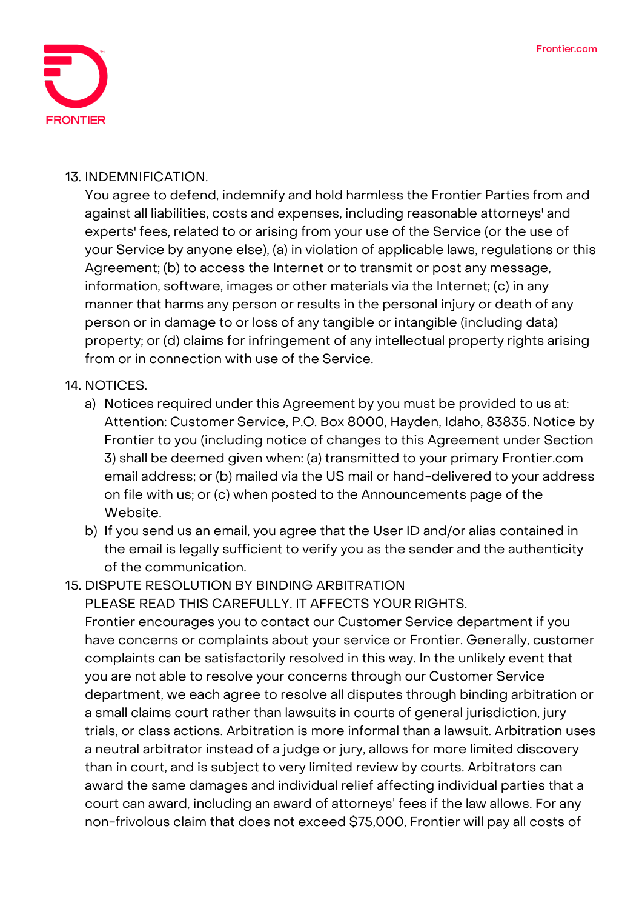

#### **13. INDEMNIFICATION.**

You agree to defend, indemnify and hold harmless the Frontier Parties from and against all liabilities, costs and expenses, including reasonable attorneys' and experts' fees, related to or arising from your use of the Service (or the use of your Service by anyone else), (a) in violation of applicable laws, regulations or this Agreement; (b) to access the Internet or to transmit or post any message, information, software, images or other materials via the Internet; (c) in any manner that harms any person or results in the personal injury or death of any person or in damage to or loss of any tangible or intangible (including data) property; or (d) claims for infringement of any intellectual property rights arising from or in connection with use of the Service.

## **14. NOTICES.**

- a) Notices required under this Agreement by you must be provided to us at: Attention: Customer Service, P.O. Box 8000, Hayden, Idaho, 83835. Notice by Frontier to you (including notice of changes to this Agreement under Section 3) shall be deemed given when: (a) transmitted to your primary Frontier.com email address; or (b) mailed via the US mail or hand-delivered to your address on file with us; or (c) when posted to the Announcements page of the Website.
- b) If you send us an email, you agree that the User ID and/or alias contained in the email is legally sufficient to verify you as the sender and the authenticity of the communication.

## **15. DISPUTE RESOLUTION BY BINDING ARBITRATION**

**PLEASE READ THIS CAREFULLY. IT AFFECTS YOUR RIGHTS.**

Frontier encourages you to contact our Customer Service department if you have concerns or complaints about your service or Frontier. Generally, customer complaints can be satisfactorily resolved in this way. In the unlikely event that you are not able to resolve your concerns through our Customer Service department, we each agree to resolve all disputes through binding arbitration or a small claims court rather than lawsuits in courts of general jurisdiction, jury trials, or class actions. Arbitration is more informal than a lawsuit. Arbitration uses a neutral arbitrator instead of a judge or jury, allows for more limited discovery than in court, and is subject to very limited review by courts. Arbitrators can award the same damages and individual relief affecting individual parties that a court can award, including an award of attorneys' fees if the law allows. For any non-frivolous claim that does not exceed \$75,000, Frontier will pay all costs of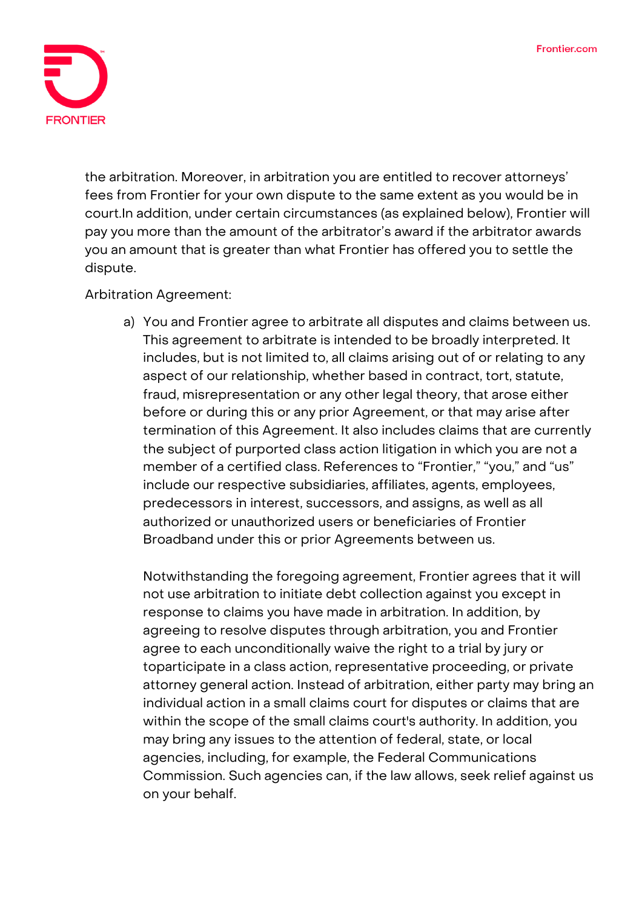

the arbitration. Moreover, in arbitration you are entitled to recover attorneys' fees from Frontier for your own dispute to the same extent as you would be in court.In addition, under certain circumstances (as explained below), Frontier will pay you more than the amount of the arbitrator's award if the arbitrator awards you an amount that is greater than what Frontier has offered you to settle the dispute.

#### **Arbitration Agreement:**

a) You and Frontier agree to arbitrate all disputes and claims between us. This agreement to arbitrate is intended to be broadly interpreted. It includes, but is not limited to, all claims arising out of or relating to any aspect of our relationship, whether based in contract, tort, statute, fraud, misrepresentation or any other legal theory, that arose either before or during this or any prior Agreement, or that may arise after termination of this Agreement. It also includes claims that are currently the subject of purported class action litigation in which you are not a member of a certified class. References to "Frontier," "you," and "us" include our respective subsidiaries, affiliates, agents, employees, predecessors in interest, successors, and assigns, as well as all authorized or unauthorized users or beneficiaries of Frontier Broadband under this or prior Agreements between us.

Notwithstanding the foregoing agreement, Frontier agrees that it will not use arbitration to initiate debt collection against you except in response to claims you have made in arbitration. In addition, by agreeing to resolve disputes through arbitration, you and Frontier agree to each unconditionally waive the right to a trial by jury or toparticipate in a class action, representative proceeding, or private attorney general action. Instead of arbitration, either party may bring an individual action in a small claims court for disputes or claims that are within the scope of the small claims court's authority. In addition, you may bring any issues to the attention of federal, state, or local agencies, including, for example, the Federal Communications Commission. Such agencies can, if the law allows, seek relief against us on your behalf.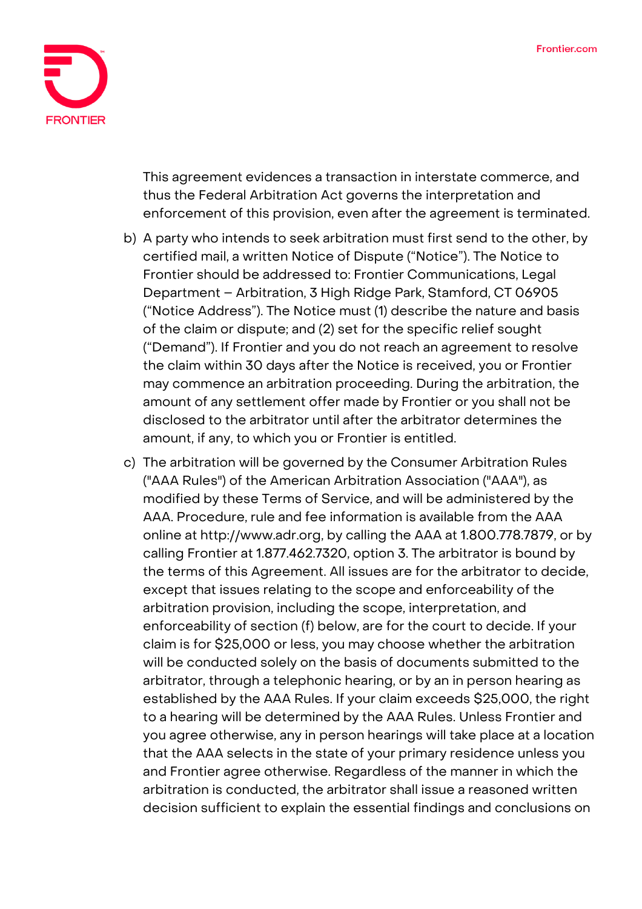

This agreement evidences a transaction in interstate commerce, and thus the Federal Arbitration Act governs the interpretation and enforcement of this provision, even after the agreement is terminated.

- b) A party who intends to seek arbitration must first send to the other, by certified mail, a written Notice of Dispute ("Notice"). The Notice to Frontier should be addressed to: Frontier Communications, Legal Department – Arbitration, 3 High Ridge Park, Stamford, CT 06905 ("Notice Address"). The Notice must (1) describe the nature and basis of the claim or dispute; and (2) set for the specific relief sought ("Demand"). If Frontier and you do not reach an agreement to resolve the claim within 30 days after the Notice is received, you or Frontier may commence an arbitration proceeding. During the arbitration, the amount of any settlement offer made by Frontier or you shall not be disclosed to the arbitrator until after the arbitrator determines the amount, if any, to which you or Frontier is entitled.
- c) The arbitration will be governed by the Consumer Arbitration Rules ("AAA Rules") of the American Arbitration Association ("AAA"), as modified by these Terms of Service, and will be administered by the AAA. Procedure, rule and fee information is available from the AAA online at http://www.adr.org, by calling the AAA at 1.800.778.7879, or by calling Frontier at 1.877.462.7320, option 3. The arbitrator is bound by the terms of this Agreement. All issues are for the arbitrator to decide, except that issues relating to the scope and enforceability of the arbitration provision, including the scope, interpretation, and enforceability of section (f) below, are for the court to decide. If your claim is for \$25,000 or less, you may choose whether the arbitration will be conducted solely on the basis of documents submitted to the arbitrator, through a telephonic hearing, or by an in person hearing as established by the AAA Rules. If your claim exceeds \$25,000, the right to a hearing will be determined by the AAA Rules. Unless Frontier and you agree otherwise, any in person hearings will take place at a location that the AAA selects in the state of your primary residence unless you and Frontier agree otherwise. Regardless of the manner in which the arbitration is conducted, the arbitrator shall issue a reasoned written decision sufficient to explain the essential findings and conclusions on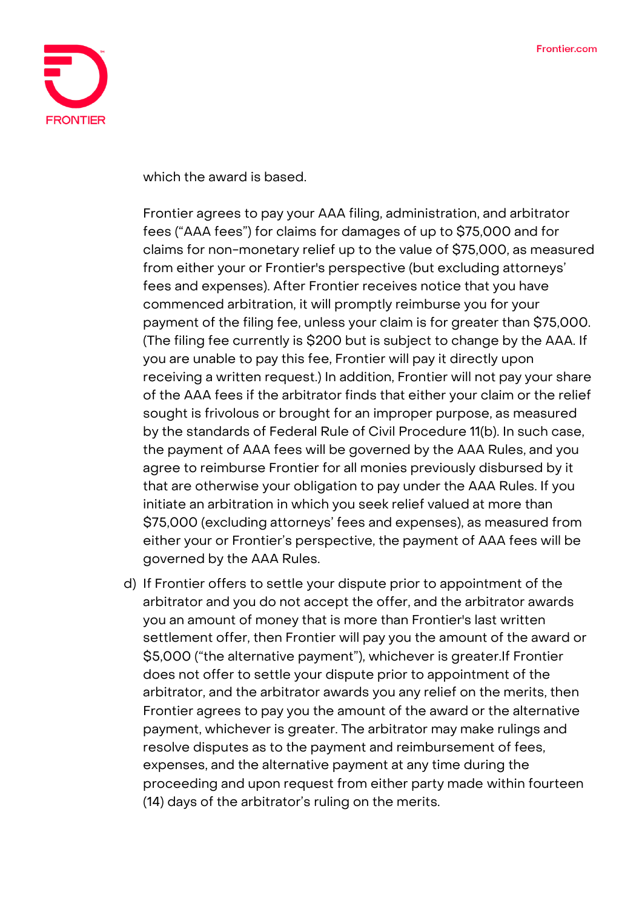

which the award is based.

Frontier agrees to pay your AAA filing, administration, and arbitrator fees ("AAA fees") for claims for damages of up to \$75,000 and for claims for non-monetary relief up to the value of \$75,000, as measured from either your or Frontier's perspective (but excluding attorneys' fees and expenses). After Frontier receives notice that you have commenced arbitration, it will promptly reimburse you for your payment of the filing fee, unless your claim is for greater than \$75,000. (The filing fee currently is \$200 but is subject to change by the AAA. If you are unable to pay this fee, Frontier will pay it directly upon receiving a written request.) In addition, Frontier will not pay your share of the AAA fees if the arbitrator finds that either your claim or the relief sought is frivolous or brought for an improper purpose, as measured by the standards of Federal Rule of Civil Procedure 11(b). In such case, the payment of AAA fees will be governed by the AAA Rules, and you agree to reimburse Frontier for all monies previously disbursed by it that are otherwise your obligation to pay under the AAA Rules. If you initiate an arbitration in which you seek relief valued at more than \$75,000 (excluding attorneys' fees and expenses), as measured from either your or Frontier's perspective, the payment of AAA fees will be governed by the AAA Rules.

d) If Frontier offers to settle your dispute prior to appointment of the arbitrator and you do not accept the offer, and the arbitrator awards you an amount of money that is more than Frontier's last written settlement offer, then Frontier will pay you the amount of the award or \$5,000 ("the alternative payment"), whichever is greater.If Frontier does not offer to settle your dispute prior to appointment of the arbitrator, and the arbitrator awards you any relief on the merits, then Frontier agrees to pay you the amount of the award or the alternative payment, whichever is greater. The arbitrator may make rulings and resolve disputes as to the payment and reimbursement of fees, expenses, and the alternative payment at any time during the proceeding and upon request from either party made within fourteen (14) days of the arbitrator's ruling on the merits.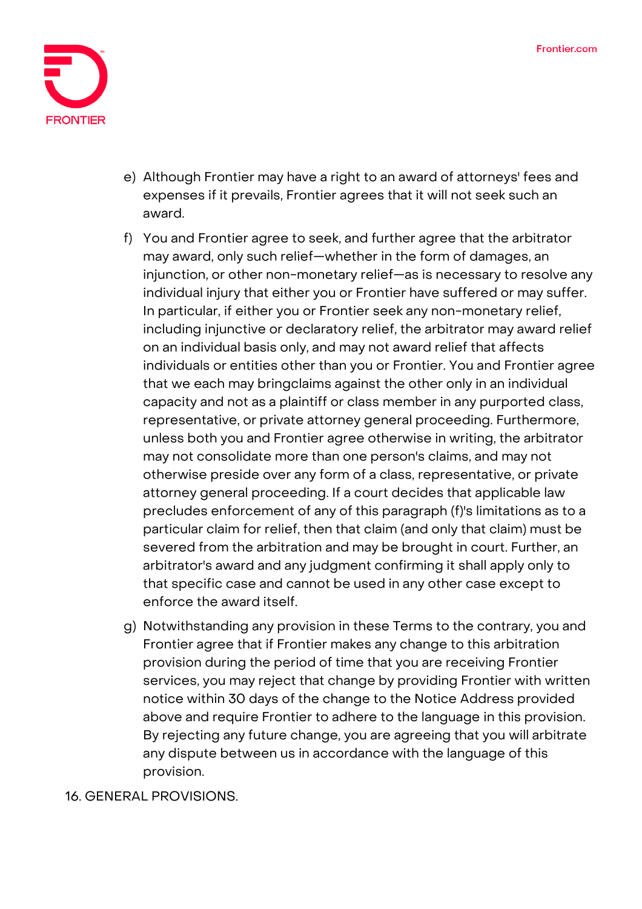

- e) Although Frontier may have a right to an award of attorneys' fees and expenses if it prevails, Frontier agrees that it will not seek such an award.
- f) You and Frontier agree to seek, and further agree that the arbitrator may award, only such relief—whether in the form of damages, an injunction, or other non-monetary relief—as is necessary to resolve any individual injury that either you or Frontier have suffered or may suffer. In particular, if either you or Frontier seek any non-monetary relief, including injunctive or declaratory relief, the arbitrator may award relief on an individual basis only, and may not award relief that affects individuals or entities other than you or Frontier. You and Frontier agree that we each may bringclaims against the other only in an individual capacity and not as a plaintiff or class member in any purported class, representative, or private attorney general proceeding. Furthermore, unless both you and Frontier agree otherwise in writing, the arbitrator may not consolidate more than one person's claims, and may not otherwise preside over any form of a class, representative, or private attorney general proceeding. If a court decides that applicable law precludes enforcement of any of this paragraph (f)'s limitations as to a particular claim for relief, then that claim (and only that claim) must be severed from the arbitration and may be brought in court. Further, an arbitrator's award and any judgment confirming it shall apply only to that specific case and cannot be used in any other case except to enforce the award itself.
- g) Notwithstanding any provision in these Terms to the contrary, you and Frontier agree that if Frontier makes any change to this arbitration provision during the period of time that you are receiving Frontier services, you may reject that change by providing Frontier with written notice within 30 days of the change to the Notice Address provided above and require Frontier to adhere to the language in this provision. By rejecting any future change, you are agreeing that you will arbitrate any dispute between us in accordance with the language of this provision.

**16. GENERAL PROVISIONS.**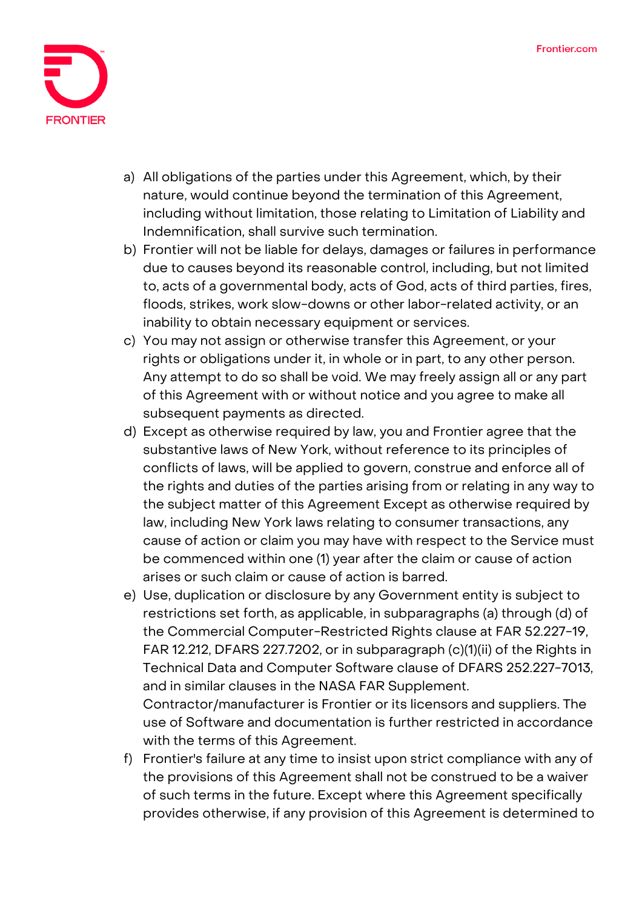

- a) All obligations of the parties under this Agreement, which, by their nature, would continue beyond the termination of this Agreement, including without limitation, those relating to Limitation of Liability and Indemnification, shall survive such termination.
- b) Frontier will not be liable for delays, damages or failures in performance due to causes beyond its reasonable control, including, but not limited to, acts of a governmental body, acts of God, acts of third parties, fires, floods, strikes, work slow-downs or other labor-related activity, or an inability to obtain necessary equipment or services.
- c) You may not assign or otherwise transfer this Agreement, or your rights or obligations under it, in whole or in part, to any other person. Any attempt to do so shall be void. We may freely assign all or any part of this Agreement with or without notice and you agree to make all subsequent payments as directed.
- d) Except as otherwise required by law, you and Frontier agree that the substantive laws of New York, without reference to its principles of conflicts of laws, will be applied to govern, construe and enforce all of the rights and duties of the parties arising from or relating in any way to the subject matter of this Agreement Except as otherwise required by law, including New York laws relating to consumer transactions, any cause of action or claim you may have with respect to the Service must be commenced within one (1) year after the claim or cause of action arises or such claim or cause of action is barred.
- e) Use, duplication or disclosure by any Government entity is subject to restrictions set forth, as applicable, in subparagraphs (a) through (d) of the Commercial Computer-Restricted Rights clause at FAR 52.227-19, FAR 12.212, DFARS 227.7202, or in subparagraph (c)(1)(ii) of the Rights in Technical Data and Computer Software clause of DFARS 252.227-7013, and in similar clauses in the NASA FAR Supplement. Contractor/manufacturer is Frontier or its licensors and suppliers. The use of Software and documentation is further restricted in accordance
- f) Frontier's failure at any time to insist upon strict compliance with any of the provisions of this Agreement shall not be construed to be a waiver of such terms in the future. Except where this Agreement specifically provides otherwise, if any provision of this Agreement is determined to

with the terms of this Agreement.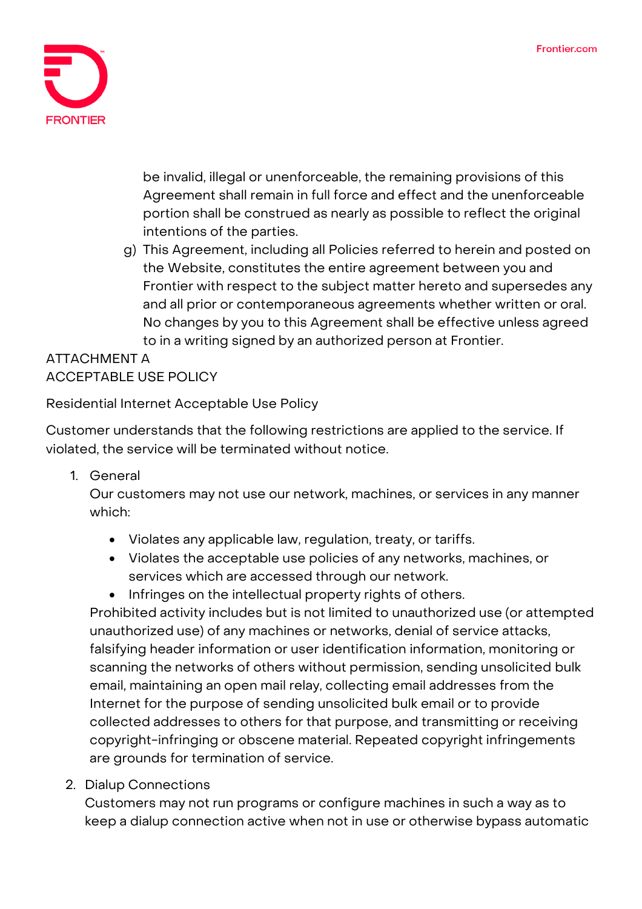

be invalid, illegal or unenforceable, the remaining provisions of this Agreement shall remain in full force and effect and the unenforceable portion shall be construed as nearly as possible to reflect the original intentions of the parties.

g) This Agreement, including all Policies referred to herein and posted on the Website, constitutes the entire agreement between you and Frontier with respect to the subject matter hereto and supersedes any and all prior or contemporaneous agreements whether written or oral. No changes by you to this Agreement shall be effective unless agreed to in a writing signed by an authorized person at Frontier.

# **ATTACHMENT A ACCEPTABLE USE POLICY**

# **Residential Internet Acceptable Use Policy**

Customer understands that the following restrictions are applied to the service. If violated, the service will be terminated without notice.

**1. General**

Our customers may not use our network, machines, or services in any manner which:

- Violates any applicable law, regulation, treaty, or tariffs.
- Violates the acceptable use policies of any networks, machines, or services which are accessed through our network.
- Infringes on the intellectual property rights of others.

Prohibited activity includes but is not limited to unauthorized use (or attempted unauthorized use) of any machines or networks, denial of service attacks, falsifying header information or user identification information, monitoring or scanning the networks of others without permission, sending unsolicited bulk email, maintaining an open mail relay, collecting email addresses from the Internet for the purpose of sending unsolicited bulk email or to provide collected addresses to others for that purpose, and transmitting or receiving copyright-infringing or obscene material. Repeated copyright infringements are grounds for termination of service.

**2. Dialup Connections**

Customers may not run programs or configure machines in such a way as to keep a dialup connection active when not in use or otherwise bypass automatic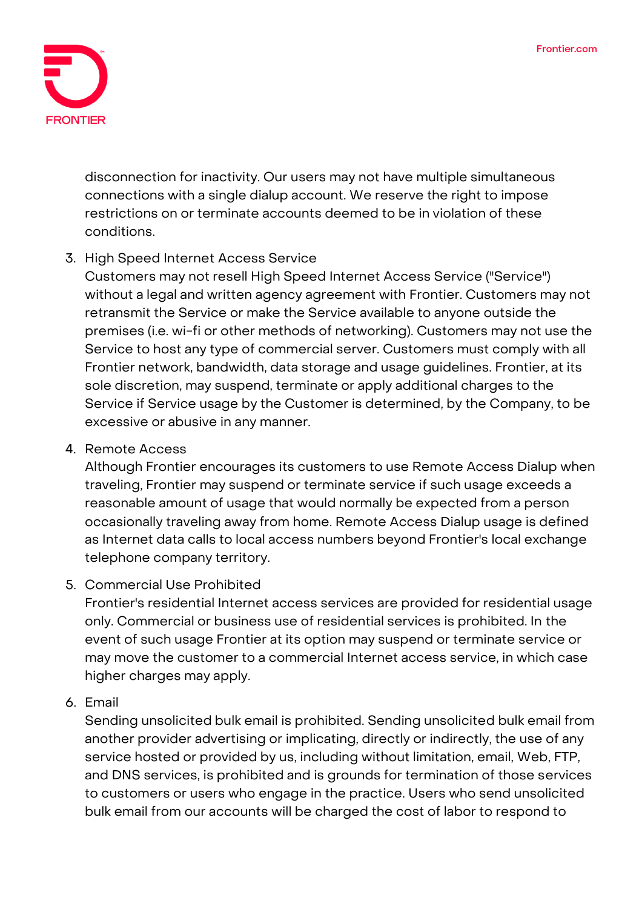

disconnection for inactivity. Our users may not have multiple simultaneous connections with a single dialup account. We reserve the right to impose restrictions on or terminate accounts deemed to be in violation of these conditions.

## **3. High Speed Internet Access Service**

Customers may not resell High Speed Internet Access Service ("Service") without a legal and written agency agreement with Frontier. Customers may not retransmit the Service or make the Service available to anyone outside the premises (i.e. wi-fi or other methods of networking). Customers may not use the Service to host any type of commercial server. Customers must comply with all Frontier network, bandwidth, data storage and usage guidelines. Frontier, at its sole discretion, may suspend, terminate or apply additional charges to the Service if Service usage by the Customer is determined, by the Company, to be excessive or abusive in any manner.

#### **4. Remote Access**

Although Frontier encourages its customers to use Remote Access Dialup when traveling, Frontier may suspend or terminate service if such usage exceeds a reasonable amount of usage that would normally be expected from a person occasionally traveling away from home. Remote Access Dialup usage is defined as Internet data calls to local access numbers beyond Frontier's local exchange telephone company territory.

#### **5. Commercial Use Prohibited**

Frontier's residential Internet access services are provided for residential usage only. Commercial or business use of residential services is prohibited. In the event of such usage Frontier at its option may suspend or terminate service or may move the customer to a commercial Internet access service, in which case higher charges may apply.

#### **6. Email**

Sending unsolicited bulk email is prohibited. Sending unsolicited bulk email from another provider advertising or implicating, directly or indirectly, the use of any service hosted or provided by us, including without limitation, email, Web, FTP, and DNS services, is prohibited and is grounds for termination of those services to customers or users who engage in the practice. Users who send unsolicited bulk email from our accounts will be charged the cost of labor to respond to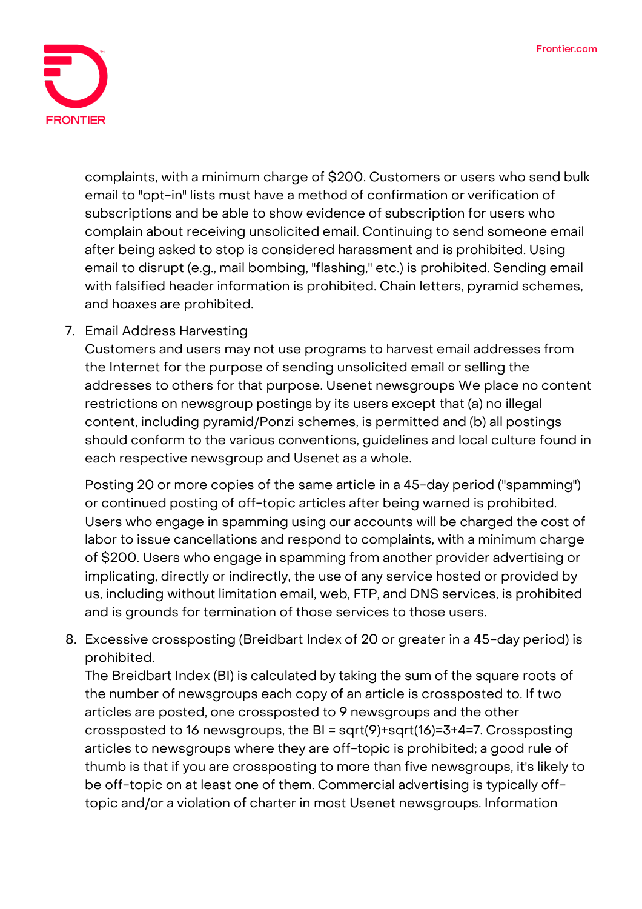

complaints, with a minimum charge of \$200. Customers or users who send bulk email to "opt-in" lists must have a method of confirmation or verification of subscriptions and be able to show evidence of subscription for users who complain about receiving unsolicited email. Continuing to send someone email after being asked to stop is considered harassment and is prohibited. Using email to disrupt (e.g., mail bombing, "flashing," etc.) is prohibited. Sending email with falsified header information is prohibited. Chain letters, pyramid schemes, and hoaxes are prohibited.

## **7. Email Address Harvesting**

Customers and users may not use programs to harvest email addresses from the Internet for the purpose of sending unsolicited email or selling the addresses to others for that purpose. Usenet newsgroups We place no content restrictions on newsgroup postings by its users except that (a) no illegal content, including pyramid/Ponzi schemes, is permitted and (b) all postings should conform to the various conventions, guidelines and local culture found in each respective newsgroup and Usenet as a whole.

Posting 20 or more copies of the same article in a 45-day period ("spamming") or continued posting of off-topic articles after being warned is prohibited. Users who engage in spamming using our accounts will be charged the cost of labor to issue cancellations and respond to complaints, with a minimum charge of \$200. Users who engage in spamming from another provider advertising or implicating, directly or indirectly, the use of any service hosted or provided by us, including without limitation email, web, FTP, and DNS services, is prohibited and is grounds for termination of those services to those users.

**8. Excessive crossposting (Breidbart Index of 20 or greater in a 45-day period) is prohibited.**

The Breidbart Index (BI) is calculated by taking the sum of the square roots of the number of newsgroups each copy of an article is crossposted to. If two articles are posted, one crossposted to 9 newsgroups and the other crossposted to 16 newsgroups, the BI = sqrt(9)+sqrt(16)=3+4=7. Crossposting articles to newsgroups where they are off-topic is prohibited; a good rule of thumb is that if you are crossposting to more than five newsgroups, it's likely to be off-topic on at least one of them. Commercial advertising is typically offtopic and/or a violation of charter in most Usenet newsgroups. Information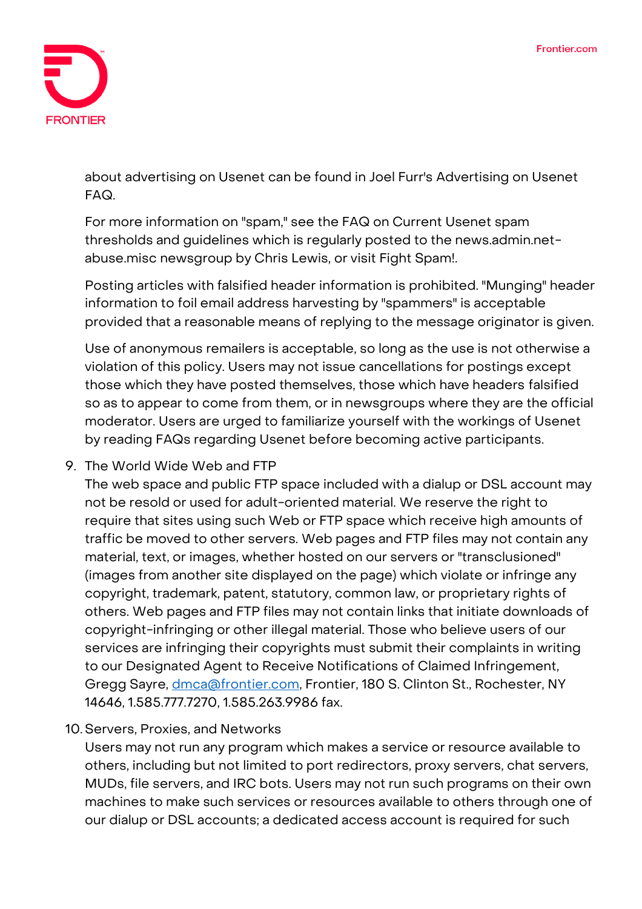

about advertising on Usenet can be found in Joel Furr's Advertising on Usenet FAQ.

For more information on "spam," see the FAQ on Current Usenet spam thresholds and guidelines which is regularly posted to the news.admin.netabuse.misc newsgroup by Chris Lewis, or visit Fight Spam!.

Posting articles with falsified header information is prohibited. "Munging" header information to foil email address harvesting by "spammers" is acceptable provided that a reasonable means of replying to the message originator is given.

Use of anonymous remailers is acceptable, so long as the use is not otherwise a violation of this policy. Users may not issue cancellations for postings except those which they have posted themselves, those which have headers falsified so as to appear to come from them, or in newsgroups where they are the official moderator. Users are urged to familiarize yourself with the workings of Usenet by reading FAQs regarding Usenet before becoming active participants.

**9. The World Wide Web and FTP**

The web space and public FTP space included with a dialup or DSL account may not be resold or used for adult-oriented material. We reserve the right to require that sites using such Web or FTP space which receive high amounts of traffic be moved to other servers. Web pages and FTP files may not contain any material, text, or images, whether hosted on our servers or "transclusioned" (images from another site displayed on the page) which violate or infringe any copyright, trademark, patent, statutory, common law, or proprietary rights of others. Web pages and FTP files may not contain links that initiate downloads of copyright-infringing or other illegal material. Those who believe users of our services are infringing their copyrights must submit their complaints in writing to our Designated Agent to Receive Notifications of Claimed Infringement, Gregg Sayre, *dmca@frontier.com*, Frontier, 180 S. Clinton St., Rochester, NY 14646, 1.585.777.7270, 1.585.263.9986 fax.

## **10.Servers, Proxies, and Networks**

Users may not run any program which makes a service or resource available to others, including but not limited to port redirectors, proxy servers, chat servers, MUDs, file servers, and IRC bots. Users may not run such programs on their own machines to make such services or resources available to others through one of our dialup or DSL accounts; a dedicated access account is required for such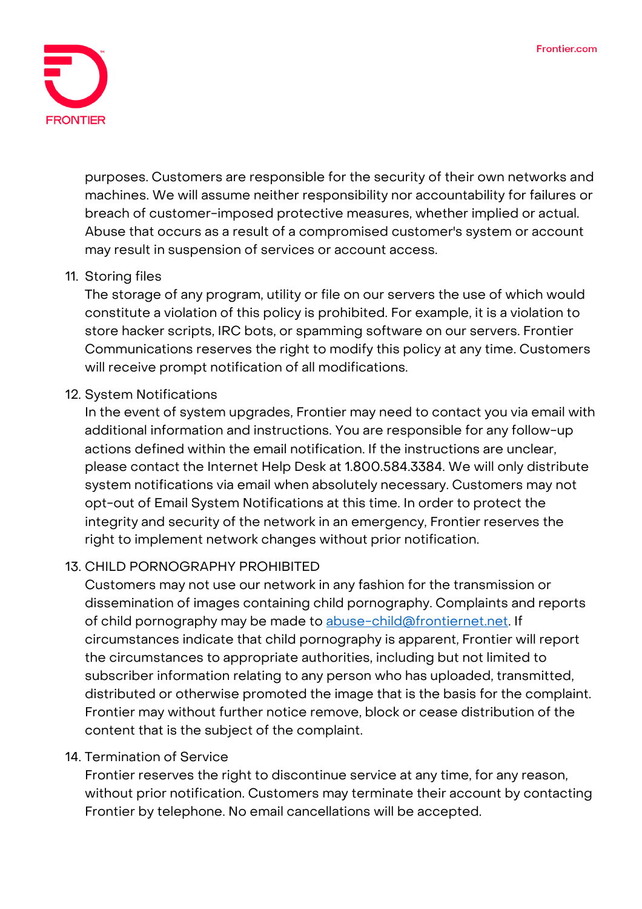

purposes. Customers are responsible for the security of their own networks and machines. We will assume neither responsibility nor accountability for failures or breach of customer-imposed protective measures, whether implied or actual. Abuse that occurs as a result of a compromised customer's system or account may result in suspension of services or account access.

#### **11. Storing files**

The storage of any program, utility or file on our servers the use of which would constitute a violation of this policy is prohibited. For example, it is a violation to store hacker scripts, IRC bots, or spamming software on our servers. Frontier Communications reserves the right to modify this policy at any time. Customers will receive prompt notification of all modifications.

#### **12. System Notifications**

In the event of system upgrades, Frontier may need to contact you via email with additional information and instructions. You are responsible for any follow-up actions defined within the email notification. If the instructions are unclear, please contact the Internet Help Desk at 1.800.584.3384. We will only distribute system notifications via email when absolutely necessary. Customers may not opt-out of Email System Notifications at this time. In order to protect the integrity and security of the network in an emergency, Frontier reserves the right to implement network changes without prior notification.

## **13. CHILD PORNOGRAPHY PROHIBITED**

Customers may not use our network in any fashion for the transmission or dissemination of images containing child pornography. Complaints and reports of child pornography may be made to [abuse-child@frontiernet.net.](mailto:abuse-child@frontiernet.net) If circumstances indicate that child pornography is apparent, Frontier will report the circumstances to appropriate authorities, including but not limited to subscriber information relating to any person who has uploaded, transmitted, distributed or otherwise promoted the image that is the basis for the complaint. Frontier may without further notice remove, block or cease distribution of the content that is the subject of the complaint.

#### **14. Termination of Service**

Frontier reserves the right to discontinue service at any time, for any reason, without prior notification. Customers may terminate their account by contacting Frontier by telephone. No email cancellations will be accepted.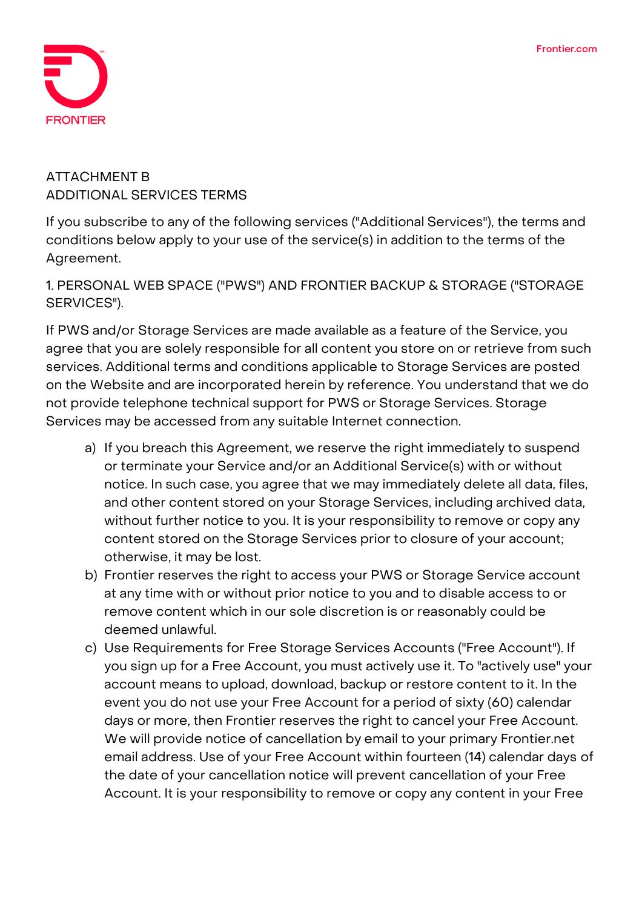

# **ATTACHMENT B ADDITIONAL SERVICES TERMS**

If you subscribe to any of the following services ("Additional Services"), the terms and conditions below apply to your use of the service(s) in addition to the terms of the Agreement.

**1. PERSONAL WEB SPACE ("PWS") AND FRONTIER BACKUP & STORAGE ("STORAGE SERVICES").**

If PWS and/or Storage Services are made available as a feature of the Service, you agree that you are solely responsible for all content you store on or retrieve from such services. Additional terms and conditions applicable to Storage Services are posted on the Website and are incorporated herein by reference. You understand that we do not provide telephone technical support for PWS or Storage Services. Storage Services may be accessed from any suitable Internet connection.

- a) If you breach this Agreement, we reserve the right immediately to suspend or terminate your Service and/or an Additional Service(s) with or without notice. In such case, you agree that we may immediately delete all data, files, and other content stored on your Storage Services, including archived data, without further notice to you. It is your responsibility to remove or copy any content stored on the Storage Services prior to closure of your account; otherwise, it may be lost.
- b) Frontier reserves the right to access your PWS or Storage Service account at any time with or without prior notice to you and to disable access to or remove content which in our sole discretion is or reasonably could be deemed unlawful.
- c) Use Requirements for Free Storage Services Accounts ("Free Account"). If you sign up for a Free Account, you must actively use it. To "actively use" your account means to upload, download, backup or restore content to it. In the event you do not use your Free Account for a period of sixty (60) calendar days or more, then Frontier reserves the right to cancel your Free Account. We will provide notice of cancellation by email to your primary Frontier.net email address. Use of your Free Account within fourteen (14) calendar days of the date of your cancellation notice will prevent cancellation of your Free Account. It is your responsibility to remove or copy any content in your Free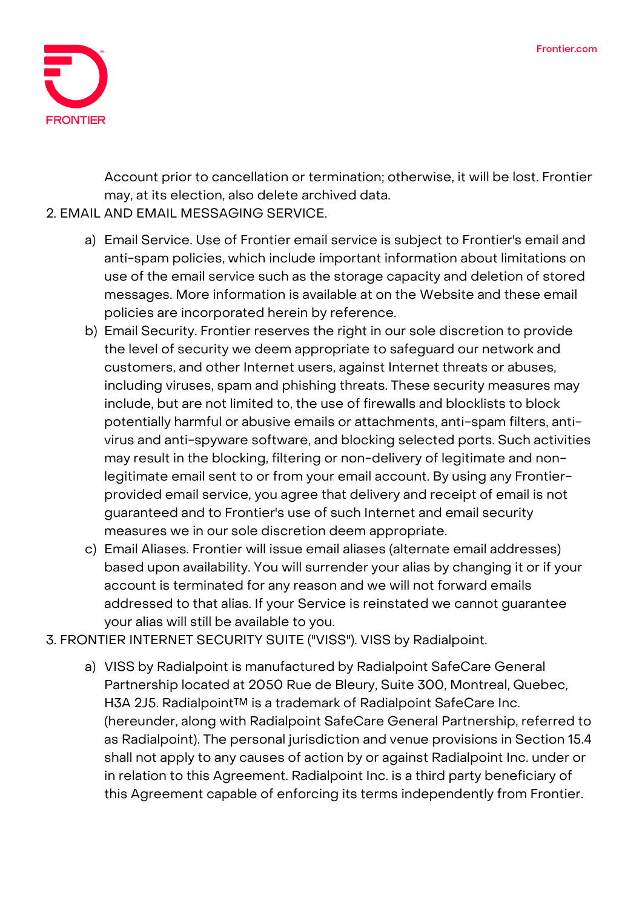

Account prior to cancellation or termination; otherwise, it will be lost. Frontier may, at its election, also delete archived data.

## **2. EMAIL AND EMAIL MESSAGING SERVICE.**

- a) Email Service. Use of Frontier email service is subject to Frontier's email and anti-spam policies, which include important information about limitations on use of the email service such as the storage capacity and deletion of stored messages. More information is available at on the Website and these email policies are incorporated herein by reference.
- b) Email Security. Frontier reserves the right in our sole discretion to provide the level of security we deem appropriate to safeguard our network and customers, and other Internet users, against Internet threats or abuses, including viruses, spam and phishing threats. These security measures may include, but are not limited to, the use of firewalls and blocklists to block potentially harmful or abusive emails or attachments, anti-spam filters, antivirus and anti-spyware software, and blocking selected ports. Such activities may result in the blocking, filtering or non-delivery of legitimate and nonlegitimate email sent to or from your email account. By using any Frontierprovided email service, you agree that delivery and receipt of email is not guaranteed and to Frontier's use of such Internet and email security measures we in our sole discretion deem appropriate.
- c) Email Aliases. Frontier will issue email aliases (alternate email addresses) based upon availability. You will surrender your alias by changing it or if your account is terminated for any reason and we will not forward emails addressed to that alias. If your Service is reinstated we cannot guarantee your alias will still be available to you.
- **3. FRONTIER INTERNET SECURITY SUITE ("VISS"). VISS by Radialpoint.**
	- a) VISS by Radialpoint is manufactured by Radialpoint SafeCare General Partnership located at 2050 Rue de Bleury, Suite 300, Montreal, Quebec, H3A 2J5. Radialpoint™ is a trademark of Radialpoint SafeCare Inc. (hereunder, along with Radialpoint SafeCare General Partnership, referred to as Radialpoint). The personal jurisdiction and venue provisions in Section 15.4 shall not apply to any causes of action by or against Radialpoint Inc. under or in relation to this Agreement. Radialpoint Inc. is a third party beneficiary of this Agreement capable of enforcing its terms independently from Frontier.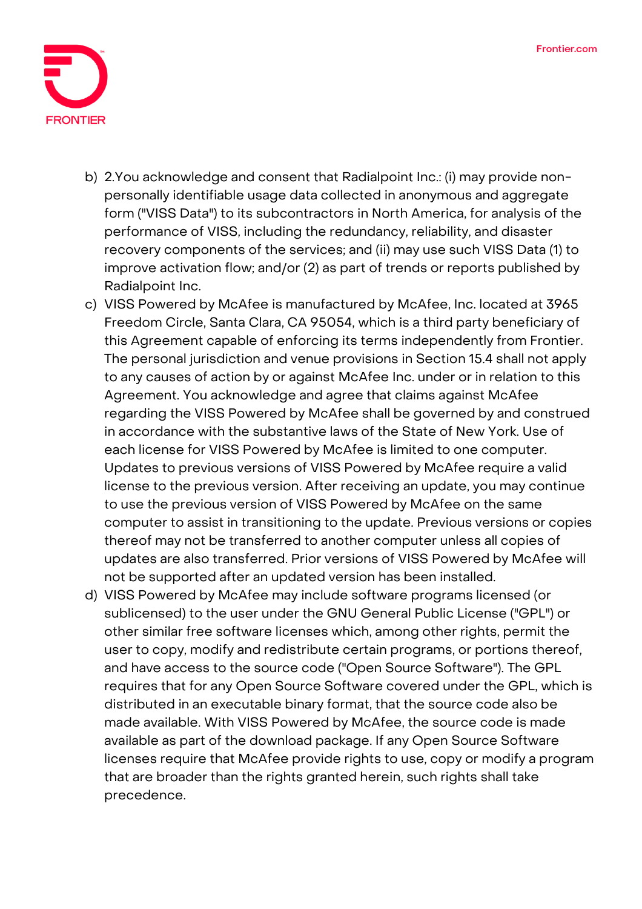

- b) 2.You acknowledge and consent that Radialpoint Inc.: (i) may provide nonpersonally identifiable usage data collected in anonymous and aggregate form ("VISS Data") to its subcontractors in North America, for analysis of the performance of VISS, including the redundancy, reliability, and disaster recovery components of the services; and (ii) may use such VISS Data (1) to improve activation flow; and/or (2) as part of trends or reports published by Radialpoint Inc.
- c) VISS Powered by McAfee is manufactured by McAfee, Inc. located at 3965 Freedom Circle, Santa Clara, CA 95054, which is a third party beneficiary of this Agreement capable of enforcing its terms independently from Frontier. The personal jurisdiction and venue provisions in Section 15.4 shall not apply to any causes of action by or against McAfee Inc. under or in relation to this Agreement. You acknowledge and agree that claims against McAfee regarding the VISS Powered by McAfee shall be governed by and construed in accordance with the substantive laws of the State of New York. Use of each license for VISS Powered by McAfee is limited to one computer. Updates to previous versions of VISS Powered by McAfee require a valid license to the previous version. After receiving an update, you may continue to use the previous version of VISS Powered by McAfee on the same computer to assist in transitioning to the update. Previous versions or copies thereof may not be transferred to another computer unless all copies of updates are also transferred. Prior versions of VISS Powered by McAfee will not be supported after an updated version has been installed.
- d) VISS Powered by McAfee may include software programs licensed (or sublicensed) to the user under the GNU General Public License ("GPL") or other similar free software licenses which, among other rights, permit the user to copy, modify and redistribute certain programs, or portions thereof, and have access to the source code ("Open Source Software"). The GPL requires that for any Open Source Software covered under the GPL, which is distributed in an executable binary format, that the source code also be made available. With VISS Powered by McAfee, the source code is made available as part of the download package. If any Open Source Software licenses require that McAfee provide rights to use, copy or modify a program that are broader than the rights granted herein, such rights shall take precedence.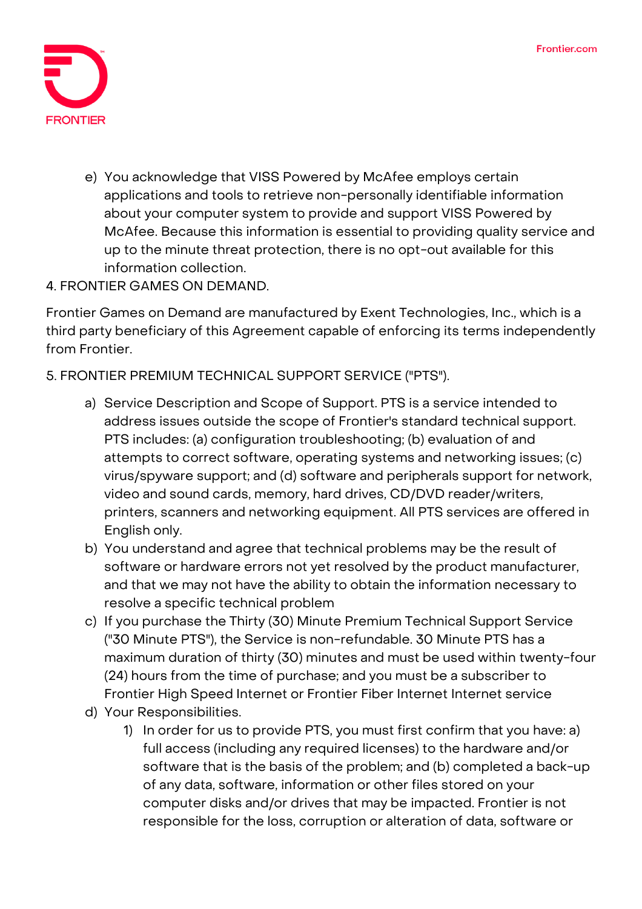

e) You acknowledge that VISS Powered by McAfee employs certain applications and tools to retrieve non-personally identifiable information about your computer system to provide and support VISS Powered by McAfee. Because this information is essential to providing quality service and up to the minute threat protection, there is no opt-out available for this information collection.

## **4. FRONTIER GAMES ON DEMAND.**

Frontier Games on Demand are manufactured by Exent Technologies, Inc., which is a third party beneficiary of this Agreement capable of enforcing its terms independently from Frontier.

## **5. FRONTIER PREMIUM TECHNICAL SUPPORT SERVICE ("PTS").**

- a) Service Description and Scope of Support. PTS is a service intended to address issues outside the scope of Frontier's standard technical support. PTS includes: (a) configuration troubleshooting; (b) evaluation of and attempts to correct software, operating systems and networking issues; (c) virus/spyware support; and (d) software and peripherals support for network, video and sound cards, memory, hard drives, CD/DVD reader/writers, printers, scanners and networking equipment. All PTS services are offered in English only.
- b) You understand and agree that technical problems may be the result of software or hardware errors not yet resolved by the product manufacturer, and that we may not have the ability to obtain the information necessary to resolve a specific technical problem
- c) If you purchase the Thirty (30) Minute Premium Technical Support Service ("30 Minute PTS"), the Service is non-refundable. 30 Minute PTS has a maximum duration of thirty (30) minutes and must be used within twenty-four (24) hours from the time of purchase; and you must be a subscriber to Frontier High Speed Internet or Frontier Fiber Internet Internet service
- d) Your Responsibilities.
	- 1) In order for us to provide PTS, you must first confirm that you have: a) full access (including any required licenses) to the hardware and/or software that is the basis of the problem; and (b) completed a back-up of any data, software, information or other files stored on your computer disks and/or drives that may be impacted. Frontier is not responsible for the loss, corruption or alteration of data, software or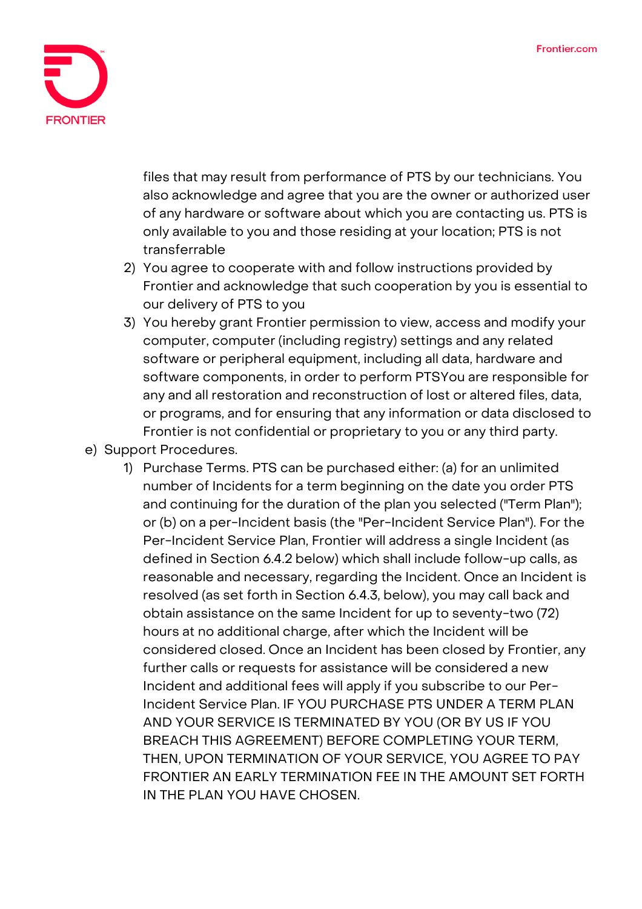

files that may result from performance of PTS by our technicians. You also acknowledge and agree that you are the owner or authorized user of any hardware or software about which you are contacting us. PTS is only available to you and those residing at your location; PTS is not transferrable

- 2) You agree to cooperate with and follow instructions provided by Frontier and acknowledge that such cooperation by you is essential to our delivery of PTS to you
- 3) You hereby grant Frontier permission to view, access and modify your computer, computer (including registry) settings and any related software or peripheral equipment, including all data, hardware and software components, in order to perform PTSYou are responsible for any and all restoration and reconstruction of lost or altered files, data, or programs, and for ensuring that any information or data disclosed to Frontier is not confidential or proprietary to you or any third party.
- e) Support Procedures.
	- 1) Purchase Terms. PTS can be purchased either: (a) for an unlimited number of Incidents for a term beginning on the date you order PTS and continuing for the duration of the plan you selected ("Term Plan"); or (b) on a per-Incident basis (the "Per-Incident Service Plan"). For the Per-Incident Service Plan, Frontier will address a single Incident (as defined in Section 6.4.2 below) which shall include follow-up calls, as reasonable and necessary, regarding the Incident. Once an Incident is resolved (as set forth in Section 6.4.3, below), you may call back and obtain assistance on the same Incident for up to seventy-two (72) hours at no additional charge, after which the Incident will be considered closed. Once an Incident has been closed by Frontier, any further calls or requests for assistance will be considered a new Incident and additional fees will apply if you subscribe to our Per-Incident Service Plan. IF YOU PURCHASE PTS UNDER A TERM PLAN AND YOUR SERVICE IS TERMINATED BY YOU (OR BY US IF YOU BREACH THIS AGREEMENT) BEFORE COMPLETING YOUR TERM, THEN, UPON TERMINATION OF YOUR SERVICE, YOU AGREE TO PAY FRONTIER AN EARLY TERMINATION FEE IN THE AMOUNT SET FORTH IN THE PLAN YOU HAVE CHOSEN.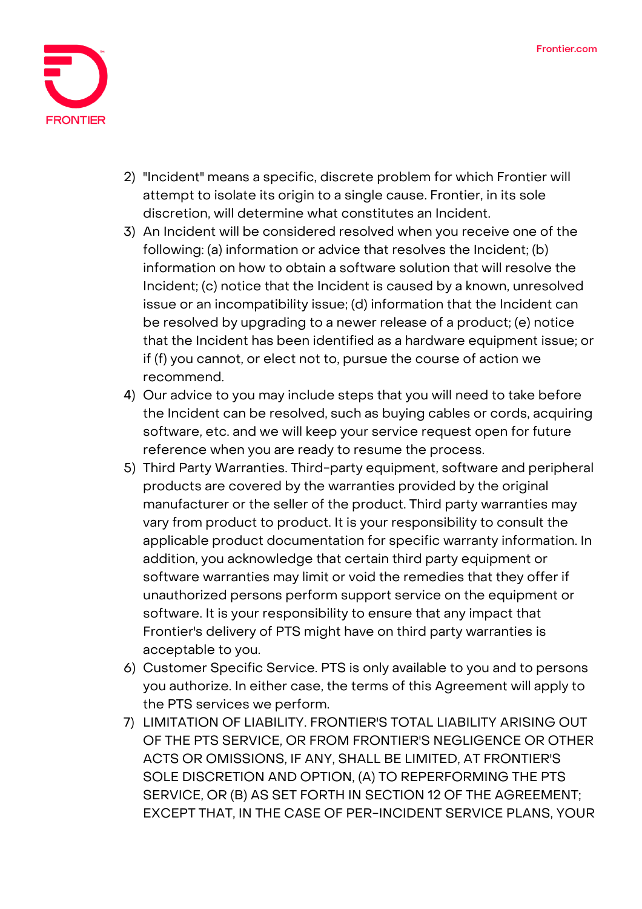

- 2) "Incident" means a specific, discrete problem for which Frontier will attempt to isolate its origin to a single cause. Frontier, in its sole discretion, will determine what constitutes an Incident.
- 3) An Incident will be considered resolved when you receive one of the following: (a) information or advice that resolves the Incident; (b) information on how to obtain a software solution that will resolve the Incident; (c) notice that the Incident is caused by a known, unresolved issue or an incompatibility issue; (d) information that the Incident can be resolved by upgrading to a newer release of a product; (e) notice that the Incident has been identified as a hardware equipment issue; or if (f) you cannot, or elect not to, pursue the course of action we recommend.
- 4) Our advice to you may include steps that you will need to take before the Incident can be resolved, such as buying cables or cords, acquiring software, etc. and we will keep your service request open for future reference when you are ready to resume the process.
- 5) Third Party Warranties. Third-party equipment, software and peripheral products are covered by the warranties provided by the original manufacturer or the seller of the product. Third party warranties may vary from product to product. It is your responsibility to consult the applicable product documentation for specific warranty information. In addition, you acknowledge that certain third party equipment or software warranties may limit or void the remedies that they offer if unauthorized persons perform support service on the equipment or software. It is your responsibility to ensure that any impact that Frontier's delivery of PTS might have on third party warranties is acceptable to you.
- 6) Customer Specific Service. PTS is only available to you and to persons you authorize. In either case, the terms of this Agreement will apply to the PTS services we perform.
- 7) LIMITATION OF LIABILITY. FRONTIER'S TOTAL LIABILITY ARISING OUT OF THE PTS SERVICE, OR FROM FRONTIER'S NEGLIGENCE OR OTHER ACTS OR OMISSIONS, IF ANY, SHALL BE LIMITED, AT FRONTIER'S SOLE DISCRETION AND OPTION, (A) TO REPERFORMING THE PTS SERVICE, OR (B) AS SET FORTH IN SECTION 12 OF THE AGREEMENT; EXCEPT THAT, IN THE CASE OF PER-INCIDENT SERVICE PLANS, YOUR